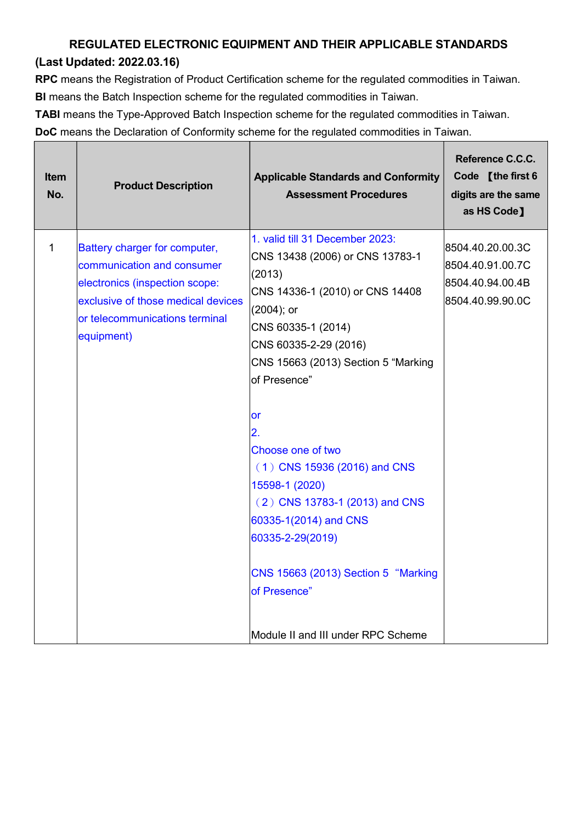## REGULATED ELECTRONIC EQUIPMENT AND THEIR APPLICABLE STANDARDS

## (Last Updated: 2022.03.16)

Г

┱

RPC means the Registration of Product Certification scheme for the regulated commodities in Taiwan. BI means the Batch Inspection scheme for the regulated commodities in Taiwan.

TABI means the Type-Approved Batch Inspection scheme for the regulated commodities in Taiwan.

DoC means the Declaration of Conformity scheme for the regulated commodities in Taiwan.

| 1. valid till 31 December 2023:<br>1<br>Battery charger for computer,<br>8504.40.20.00.3C<br>CNS 13438 (2006) or CNS 13783-1<br>communication and consumer<br>8504.40.91.00.7C<br>(2013)<br>electronics (inspection scope:<br>8504.40.94.00.4B<br>CNS 14336-1 (2010) or CNS 14408<br>exclusive of those medical devices<br>8504.40.99.90.0C<br>$(2004);$ or<br>or telecommunications terminal<br>CNS 60335-1 (2014)<br>equipment)<br>CNS 60335-2-29 (2016)<br>CNS 15663 (2013) Section 5 "Marking<br>of Presence"<br>or<br>2.<br>Choose one of two<br>$(1)$ CNS 15936 (2016) and CNS<br>15598-1 (2020)<br>$(2)$ CNS 13783-1 (2013) and CNS<br>60335-1(2014) and CNS<br>60335-2-29(2019)<br>CNS 15663 (2013) Section 5 "Marking<br>of Presence" | <b>Item</b><br>No. | <b>Product Description</b> | <b>Applicable Standards and Conformity</b><br><b>Assessment Procedures</b> | Reference C.C.C.<br>Code [the first 6<br>digits are the same<br>as HS Code] |
|------------------------------------------------------------------------------------------------------------------------------------------------------------------------------------------------------------------------------------------------------------------------------------------------------------------------------------------------------------------------------------------------------------------------------------------------------------------------------------------------------------------------------------------------------------------------------------------------------------------------------------------------------------------------------------------------------------------------------------------------|--------------------|----------------------------|----------------------------------------------------------------------------|-----------------------------------------------------------------------------|
| Module II and III under RPC Scheme                                                                                                                                                                                                                                                                                                                                                                                                                                                                                                                                                                                                                                                                                                             |                    |                            |                                                                            |                                                                             |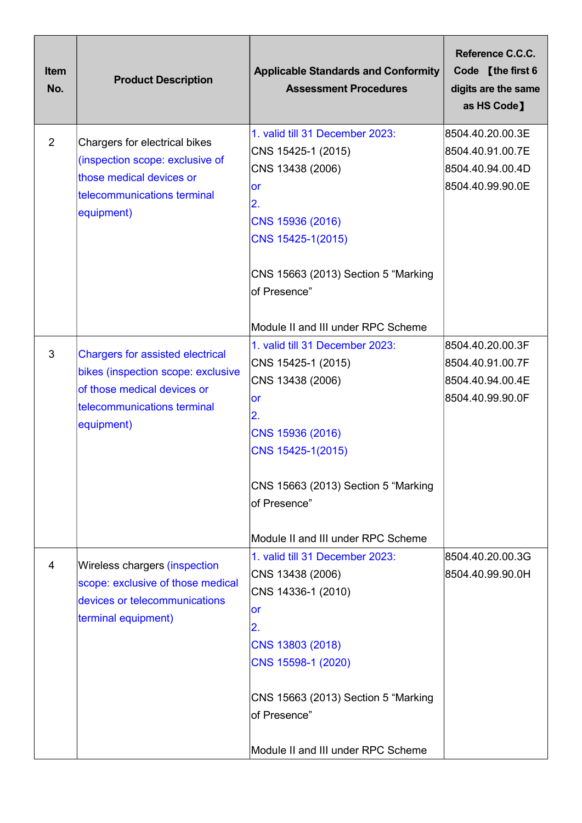| <b>Item</b><br>No. | <b>Product Description</b>                                                                                                                                | <b>Applicable Standards and Conformity</b><br><b>Assessment Procedures</b>                                                                                                                   | Reference C.C.C.<br>Code [the first 6<br>digits are the same<br>as HS Code]  |
|--------------------|-----------------------------------------------------------------------------------------------------------------------------------------------------------|----------------------------------------------------------------------------------------------------------------------------------------------------------------------------------------------|------------------------------------------------------------------------------|
| 2                  | Chargers for electrical bikes<br>(inspection scope: exclusive of<br>those medical devices or<br>telecommunications terminal<br>equipment)                 | 1. valid till 31 December 2023:<br>CNS 15425-1 (2015)<br>CNS 13438 (2006)<br><b>or</b><br>2.<br>CNS 15936 (2016)<br>CNS 15425-1(2015)<br>CNS 15663 (2013) Section 5 "Marking<br>of Presence" | 8504.40.20.00.3E<br>8504.40.91.00.7E<br>8504.40.94.00.4D<br>8504.40.99.90.0E |
|                    |                                                                                                                                                           | Module II and III under RPC Scheme                                                                                                                                                           |                                                                              |
| 3                  | <b>Chargers for assisted electrical</b><br>bikes (inspection scope: exclusive<br>of those medical devices or<br>telecommunications terminal<br>equipment) | 1. valid till 31 December 2023:<br>CNS 15425-1 (2015)<br>CNS 13438 (2006)<br>lor<br>2.<br>CNS 15936 (2016)<br>CNS 15425-1(2015)<br>CNS 15663 (2013) Section 5 "Marking<br>of Presence"       | 8504.40.20.00.3F<br>8504.40.91.00.7F<br>8504.40.94.00.4E<br>8504.40.99.90.0F |
|                    |                                                                                                                                                           | Module II and III under RPC Scheme                                                                                                                                                           |                                                                              |
| 4                  | Wireless chargers (inspection<br>scope: exclusive of those medical<br>devices or telecommunications<br>terminal equipment)                                | 1. valid till 31 December 2023:<br>CNS 13438 (2006)<br>CNS 14336-1 (2010)<br>or<br>2.<br>CNS 13803 (2018)<br>CNS 15598-1 (2020)<br>CNS 15663 (2013) Section 5 "Marking                       | 8504.40.20.00.3G<br>8504.40.99.90.0H                                         |
|                    |                                                                                                                                                           | of Presence"<br>Module II and III under RPC Scheme                                                                                                                                           |                                                                              |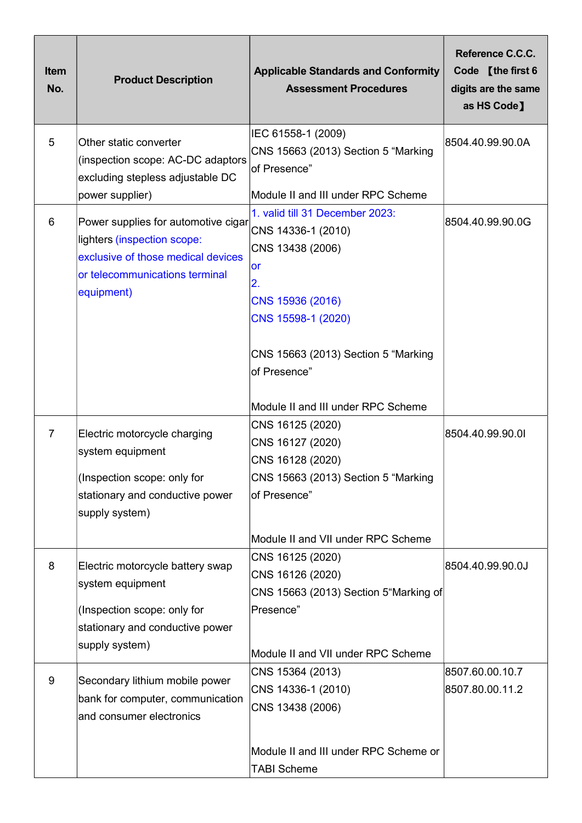| <b>Item</b><br>No. | <b>Product Description</b>                                                                                                                               | <b>Applicable Standards and Conformity</b><br><b>Assessment Procedures</b>                                                                                                    | Reference C.C.C.<br>Code [the first 6<br>digits are the same<br>as HS Code] |
|--------------------|----------------------------------------------------------------------------------------------------------------------------------------------------------|-------------------------------------------------------------------------------------------------------------------------------------------------------------------------------|-----------------------------------------------------------------------------|
| 5                  | Other static converter<br>(inspection scope: AC-DC adaptors<br>excluding stepless adjustable DC                                                          | IEC 61558-1 (2009)<br>CNS 15663 (2013) Section 5 "Marking<br>of Presence"                                                                                                     | 8504.40.99.90.0A                                                            |
|                    | power supplier)                                                                                                                                          | Module II and III under RPC Scheme                                                                                                                                            |                                                                             |
| 6                  | Power supplies for automotive cigar<br>lighters (inspection scope:<br>exclusive of those medical devices<br>or telecommunications terminal<br>equipment) | 1. valid till 31 December 2023:<br>CNS 14336-1 (2010)<br>CNS 13438 (2006)<br><b>or</b><br>2.<br>CNS 15936 (2016)<br>CNS 15598-1 (2020)<br>CNS 15663 (2013) Section 5 "Marking | 8504.40.99.90.0G                                                            |
|                    |                                                                                                                                                          | of Presence"<br>Module II and III under RPC Scheme                                                                                                                            |                                                                             |
| 7                  | Electric motorcycle charging<br>system equipment<br>(Inspection scope: only for<br>stationary and conductive power<br>supply system)                     | CNS 16125 (2020)<br>CNS 16127 (2020)<br>CNS 16128 (2020)<br>CNS 15663 (2013) Section 5 "Marking<br>of Presence"                                                               | 8504.40.99.90.01                                                            |
| 8                  | Electric motorcycle battery swap<br>system equipment<br>(Inspection scope: only for<br>stationary and conductive power                                   | Module II and VII under RPC Scheme<br>CNS 16125 (2020)<br>CNS 16126 (2020)<br>CNS 15663 (2013) Section 5"Marking of<br>Presence"                                              | 8504.40.99.90.0J                                                            |
|                    | supply system)                                                                                                                                           | Module II and VII under RPC Scheme                                                                                                                                            |                                                                             |
| 9                  | Secondary lithium mobile power<br>bank for computer, communication<br>and consumer electronics                                                           | CNS 15364 (2013)<br>CNS 14336-1 (2010)<br>CNS 13438 (2006)                                                                                                                    | 8507.60.00.10.7<br>8507.80.00.11.2                                          |
|                    |                                                                                                                                                          | Module II and III under RPC Scheme or<br><b>TABI Scheme</b>                                                                                                                   |                                                                             |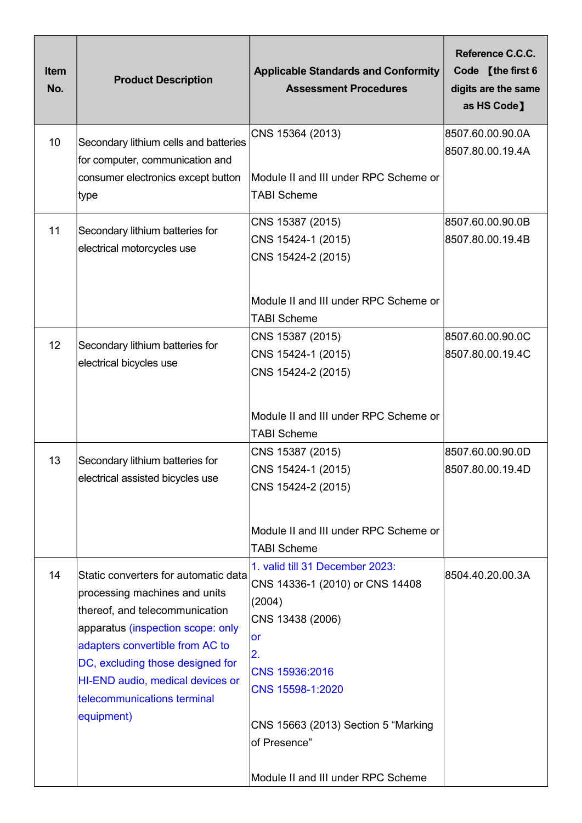| <b>Item</b><br>No. | <b>Product Description</b>                                                                                                                                                                                                                                   | <b>Applicable Standards and Conformity</b><br><b>Assessment Procedures</b>                                                                 | Reference C.C.C.<br>Code [the first 6<br>digits are the same<br>as HS Code] |
|--------------------|--------------------------------------------------------------------------------------------------------------------------------------------------------------------------------------------------------------------------------------------------------------|--------------------------------------------------------------------------------------------------------------------------------------------|-----------------------------------------------------------------------------|
| 10 <sup>1</sup>    | Secondary lithium cells and batteries<br>for computer, communication and<br>consumer electronics except button<br>∣type                                                                                                                                      | CNS 15364 (2013)<br>Module II and III under RPC Scheme or<br><b>TABI Scheme</b>                                                            | 8507.60.00.90.0A<br>8507.80.00.19.4A                                        |
| 11                 | Secondary lithium batteries for<br>electrical motorcycles use                                                                                                                                                                                                | CNS 15387 (2015)<br>CNS 15424-1 (2015)<br>CNS 15424-2 (2015)<br>Module II and III under RPC Scheme or                                      | 8507.60.00.90.0B<br>8507.80.00.19.4B                                        |
| 12                 | Secondary lithium batteries for<br>electrical bicycles use                                                                                                                                                                                                   | <b>TABI Scheme</b><br>CNS 15387 (2015)<br>CNS 15424-1 (2015)<br>CNS 15424-2 (2015)<br>Module II and III under RPC Scheme or                | 8507.60.00.90.0C<br>8507.80.00.19.4C                                        |
| 13                 | Secondary lithium batteries for<br>electrical assisted bicycles use                                                                                                                                                                                          | <b>TABI Scheme</b><br>CNS 15387 (2015)<br>CNS 15424-1 (2015)<br>CNS 15424-2 (2015)                                                         | 8507.60.00.90.0D<br>8507.80.00.19.4D                                        |
| 14                 | Static converters for automatic data                                                                                                                                                                                                                         | Module II and III under RPC Scheme or<br><b>TABI Scheme</b><br>1. valid till 31 December 2023:<br>CNS 14336-1 (2010) or CNS 14408          | 8504.40.20.00.3A                                                            |
|                    | processing machines and units<br>thereof, and telecommunication<br>apparatus (inspection scope: only<br>adapters convertible from AC to<br>DC, excluding those designed for<br>HI-END audio, medical devices or<br>telecommunications terminal<br>equipment) | (2004)<br>CNS 13438 (2006)<br><b>or</b><br>2.<br>CNS 15936:2016<br>CNS 15598-1:2020<br>CNS 15663 (2013) Section 5 "Marking<br>of Presence" |                                                                             |
|                    |                                                                                                                                                                                                                                                              | Module II and III under RPC Scheme                                                                                                         |                                                                             |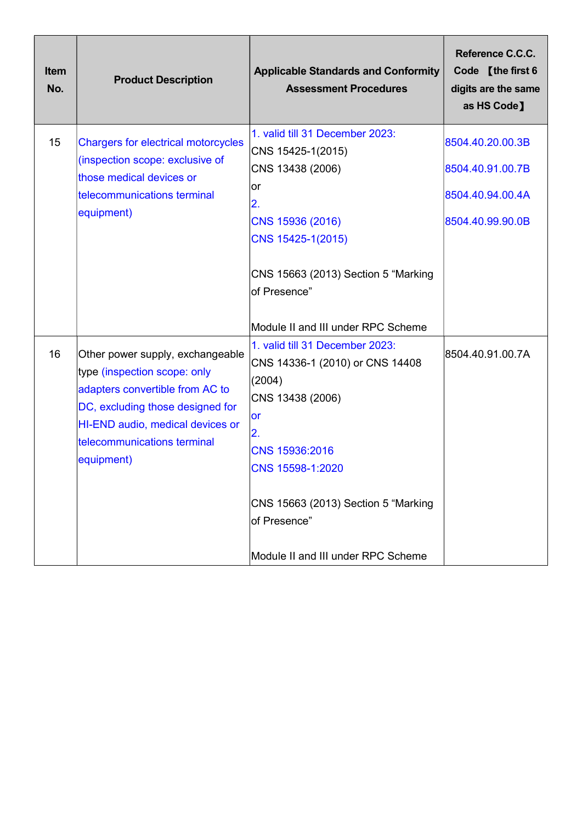| <b>Item</b><br>No. | <b>Product Description</b>                                                                                                                                                                                               | <b>Applicable Standards and Conformity</b><br><b>Assessment Procedures</b>                                                                                | Reference C.C.C.<br>Code [the first 6<br>digits are the same<br>as HS Code]  |
|--------------------|--------------------------------------------------------------------------------------------------------------------------------------------------------------------------------------------------------------------------|-----------------------------------------------------------------------------------------------------------------------------------------------------------|------------------------------------------------------------------------------|
| 15                 | <b>Chargers for electrical motorcycles</b><br>(inspection scope: exclusive of<br>those medical devices or<br>telecommunications terminal<br>equipment)                                                                   | 1. valid till 31 December 2023:<br>CNS 15425-1(2015)<br>CNS 13438 (2006)<br>lor<br>2.<br>CNS 15936 (2016)<br>CNS 15425-1(2015)                            | 8504.40.20.00.3B<br>8504.40.91.00.7B<br>8504.40.94.00.4A<br>8504.40.99.90.0B |
|                    |                                                                                                                                                                                                                          | CNS 15663 (2013) Section 5 "Marking<br>of Presence"<br>Module II and III under RPC Scheme                                                                 |                                                                              |
| 16                 | Other power supply, exchangeable<br>type (inspection scope: only<br>adapters convertible from AC to<br>DC, excluding those designed for<br>HI-END audio, medical devices or<br>telecommunications terminal<br>equipment) | 1. valid till 31 December 2023:<br>CNS 14336-1 (2010) or CNS 14408<br>(2004)<br>CNS 13438 (2006)<br><b>or</b><br>2.<br>CNS 15936:2016<br>CNS 15598-1:2020 | 8504.40.91.00.7A                                                             |
|                    |                                                                                                                                                                                                                          | CNS 15663 (2013) Section 5 "Marking<br>of Presence"<br>Module II and III under RPC Scheme                                                                 |                                                                              |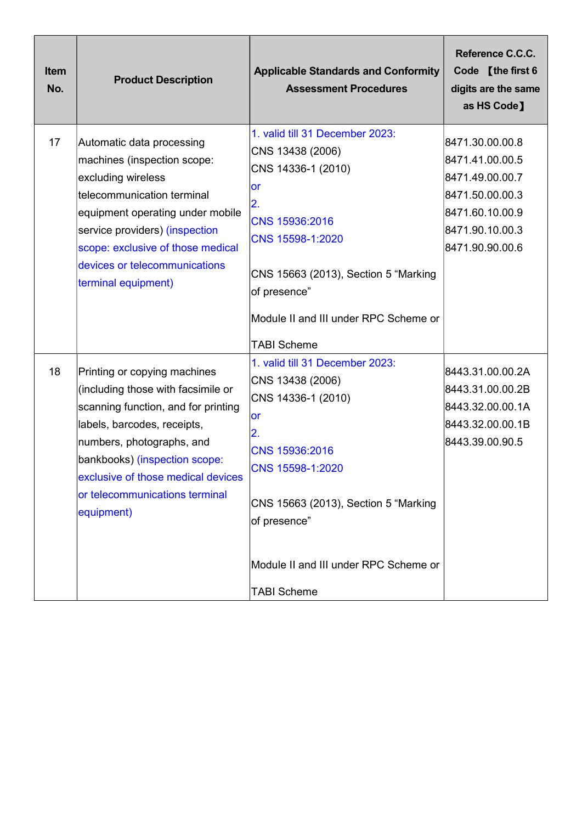| <b>Item</b><br>No. | <b>Product Description</b>                                                                                                                                                                                                                                                      | <b>Applicable Standards and Conformity</b><br><b>Assessment Procedures</b>                                                                                                                                                          | Reference C.C.C.<br>Code [the first 6<br>digits are the same<br>as HS Code]                                                       |
|--------------------|---------------------------------------------------------------------------------------------------------------------------------------------------------------------------------------------------------------------------------------------------------------------------------|-------------------------------------------------------------------------------------------------------------------------------------------------------------------------------------------------------------------------------------|-----------------------------------------------------------------------------------------------------------------------------------|
| 17                 | Automatic data processing<br>machines (inspection scope:<br>excluding wireless<br>telecommunication terminal<br>equipment operating under mobile<br>service providers) (inspection<br>scope: exclusive of those medical<br>devices or telecommunications<br>terminal equipment) | 1. valid till 31 December 2023:<br>CNS 13438 (2006)<br>CNS 14336-1 (2010)<br><b>or</b><br>2.<br>CNS 15936:2016<br>CNS 15598-1:2020<br>CNS 15663 (2013), Section 5 "Marking<br>of presence"<br>Module II and III under RPC Scheme or | 8471.30.00.00.8<br>8471.41.00.00.5<br>8471.49.00.00.7<br>8471.50.00.00.3<br>8471.60.10.00.9<br>8471.90.10.00.3<br>8471.90.90.00.6 |
| 18                 | Printing or copying machines<br>(including those with facsimile or<br>scanning function, and for printing<br>labels, barcodes, receipts,<br>numbers, photographs, and<br>bankbooks) (inspection scope:                                                                          | <b>TABI Scheme</b><br>1. valid till 31 December 2023:<br>CNS 13438 (2006)<br>CNS 14336-1 (2010)<br><b>or</b><br>2.<br>CNS 15936:2016<br>CNS 15598-1:2020                                                                            | 8443.31.00.00.2A<br>8443.31.00.00.2B<br>8443.32.00.00.1A<br>8443.32.00.00.1B<br>8443.39.00.90.5                                   |
|                    | exclusive of those medical devices<br>or telecommunications terminal<br>equipment)                                                                                                                                                                                              | CNS 15663 (2013), Section 5 "Marking<br>of presence"<br>Module II and III under RPC Scheme or<br><b>TABI Scheme</b>                                                                                                                 |                                                                                                                                   |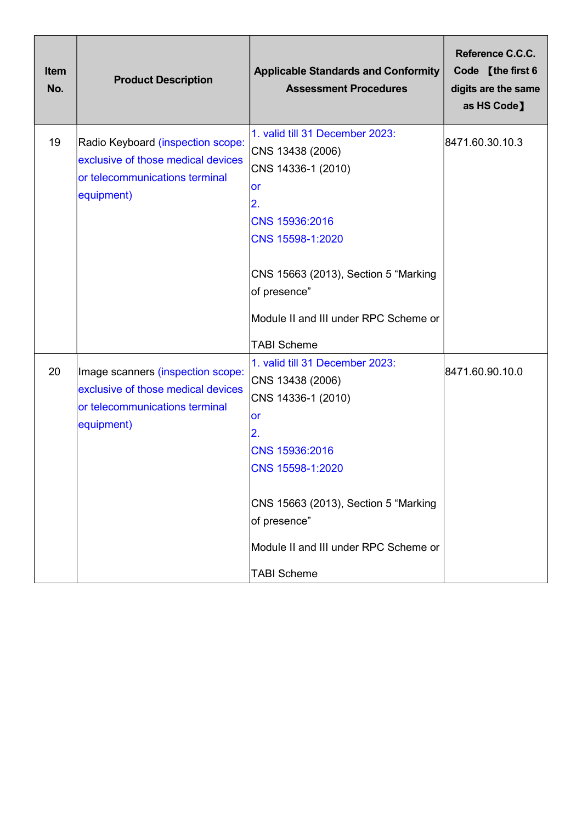| <b>Item</b><br>No. | <b>Product Description</b>                                                                                              | <b>Applicable Standards and Conformity</b><br><b>Assessment Procedures</b>                                                                                                                                                                         | Reference C.C.C.<br>Code [the first 6<br>digits are the same<br>as HS Code] |
|--------------------|-------------------------------------------------------------------------------------------------------------------------|----------------------------------------------------------------------------------------------------------------------------------------------------------------------------------------------------------------------------------------------------|-----------------------------------------------------------------------------|
| 19                 | Radio Keyboard (inspection scope:<br>exclusive of those medical devices<br>or telecommunications terminal<br>equipment) | 1. valid till 31 December 2023:<br>CNS 13438 (2006)<br>CNS 14336-1 (2010)<br>or<br>$\overline{2}$ .<br>CNS 15936:2016<br>CNS 15598-1:2020<br>CNS 15663 (2013), Section 5 "Marking                                                                  | 8471.60.30.10.3                                                             |
|                    |                                                                                                                         | of presence"<br>Module II and III under RPC Scheme or<br><b>TABI Scheme</b>                                                                                                                                                                        |                                                                             |
| 20                 | Image scanners (inspection scope:<br>exclusive of those medical devices<br>or telecommunications terminal<br>equipment) | 1. valid till 31 December 2023:<br>CNS 13438 (2006)<br>CNS 14336-1 (2010)<br>or<br>2.<br>CNS 15936:2016<br>CNS 15598-1:2020<br>CNS 15663 (2013), Section 5 "Marking<br>of presence"<br>Module II and III under RPC Scheme or<br><b>TABI Scheme</b> | 8471.60.90.10.0                                                             |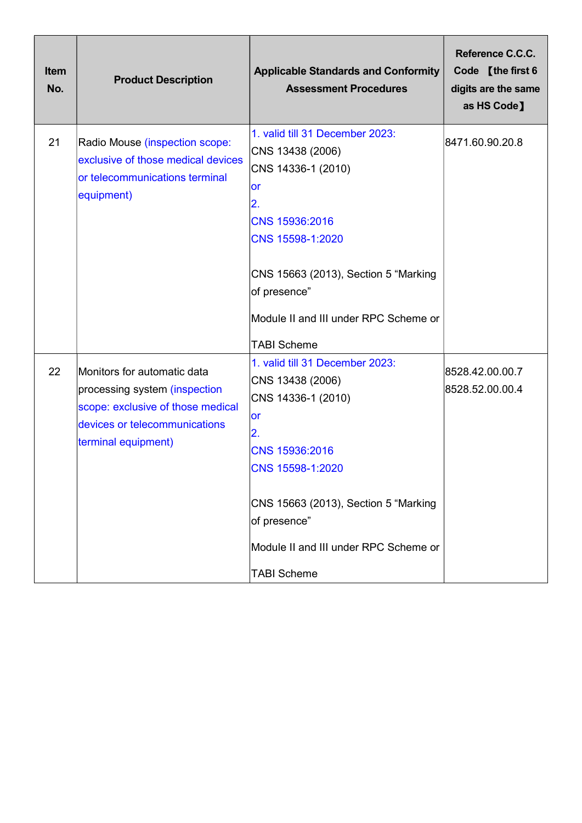| <b>Item</b><br>No. | <b>Product Description</b>                                                                                                                                | <b>Applicable Standards and Conformity</b><br><b>Assessment Procedures</b>                                                                                                                                                                                | Reference C.C.C.<br>Code [the first 6<br>digits are the same<br>as HS Code] |
|--------------------|-----------------------------------------------------------------------------------------------------------------------------------------------------------|-----------------------------------------------------------------------------------------------------------------------------------------------------------------------------------------------------------------------------------------------------------|-----------------------------------------------------------------------------|
| 21                 | Radio Mouse (inspection scope:<br>exclusive of those medical devices<br>or telecommunications terminal<br>equipment)                                      | 1. valid till 31 December 2023:<br>CNS 13438 (2006)<br>CNS 14336-1 (2010)<br>or<br>2.<br>CNS 15936:2016<br>CNS 15598-1:2020<br>CNS 15663 (2013), Section 5 "Marking<br>of presence"                                                                       | 8471.60.90.20.8                                                             |
|                    |                                                                                                                                                           | Module II and III under RPC Scheme or<br><b>TABI Scheme</b>                                                                                                                                                                                               |                                                                             |
| 22                 | Monitors for automatic data<br>processing system (inspection<br>scope: exclusive of those medical<br>devices or telecommunications<br>terminal equipment) | 1. valid till 31 December 2023:<br>CNS 13438 (2006)<br>CNS 14336-1 (2010)<br><b>or</b><br>2.<br>CNS 15936:2016<br>CNS 15598-1:2020<br>CNS 15663 (2013), Section 5 "Marking<br>of presence"<br>Module II and III under RPC Scheme or<br><b>TABI Scheme</b> | 8528.42.00.00.7<br>8528.52.00.00.4                                          |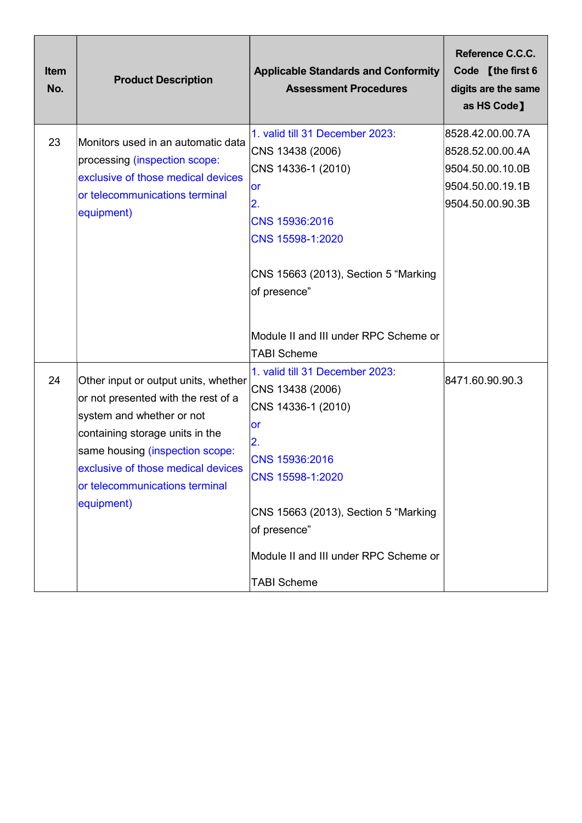| <b>Item</b><br>No. | <b>Product Description</b>                                                                                                                                                                                                                                           | <b>Applicable Standards and Conformity</b><br><b>Assessment Procedures</b>                                                                                                                                                                                       | Reference C.C.C.<br>Code [the first 6<br>digits are the same<br>as HS Code]                      |
|--------------------|----------------------------------------------------------------------------------------------------------------------------------------------------------------------------------------------------------------------------------------------------------------------|------------------------------------------------------------------------------------------------------------------------------------------------------------------------------------------------------------------------------------------------------------------|--------------------------------------------------------------------------------------------------|
| 23                 | Monitors used in an automatic data<br>processing (inspection scope:<br>exclusive of those medical devices<br>or telecommunications terminal<br>equipment)                                                                                                            | 1. valid till 31 December 2023:<br>CNS 13438 (2006)<br>CNS 14336-1 (2010)<br>or<br>2.<br>CNS 15936:2016<br>CNS 15598-1:2020<br>CNS 15663 (2013), Section 5 "Marking<br>of presence"                                                                              | 8528.42.00.00.7A<br>8528.52.00.00.4A<br>9504.50.00.10.0B<br>9504.50.00.19.1B<br>9504.50.00.90.3B |
|                    |                                                                                                                                                                                                                                                                      | Module II and III under RPC Scheme or<br><b>TABI Scheme</b>                                                                                                                                                                                                      |                                                                                                  |
| 24                 | Other input or output units, whether<br>or not presented with the rest of a<br>system and whether or not<br>containing storage units in the<br>same housing (inspection scope:<br>exclusive of those medical devices<br>or telecommunications terminal<br>equipment) | 1. valid till 31 December 2023:<br>CNS 13438 (2006)<br>CNS 14336-1 (2010)<br>or<br>$\overline{2}$ .<br>CNS 15936:2016<br>CNS 15598-1:2020<br>CNS 15663 (2013), Section 5 "Marking<br>of presence"<br>Module II and III under RPC Scheme or<br><b>TABI Scheme</b> | 8471.60.90.90.3                                                                                  |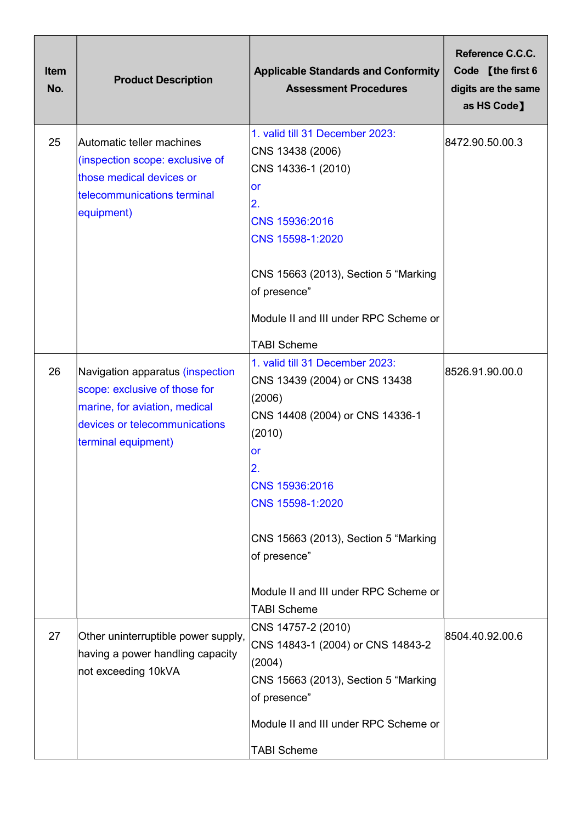| <b>Item</b><br>No. | <b>Product Description</b>                                                                                                                                 | <b>Applicable Standards and Conformity</b><br><b>Assessment Procedures</b>                                                                                                                                                                                                                              | Reference C.C.C.<br>Code [the first 6<br>digits are the same<br>as HS Code] |
|--------------------|------------------------------------------------------------------------------------------------------------------------------------------------------------|---------------------------------------------------------------------------------------------------------------------------------------------------------------------------------------------------------------------------------------------------------------------------------------------------------|-----------------------------------------------------------------------------|
| 25                 | Automatic teller machines<br>(inspection scope: exclusive of<br>those medical devices or<br>telecommunications terminal<br>equipment)                      | 1. valid till 31 December 2023:<br>CNS 13438 (2006)<br>CNS 14336-1 (2010)<br>or<br>$\mathbf{2}$ .<br>CNS 15936:2016<br>CNS 15598-1:2020<br>CNS 15663 (2013), Section 5 "Marking<br>of presence"<br>Module II and III under RPC Scheme or<br><b>TABI Scheme</b>                                          | 8472.90.50.00.3                                                             |
| 26                 | Navigation apparatus (inspection<br>scope: exclusive of those for<br>marine, for aviation, medical<br>devices or telecommunications<br>terminal equipment) | 1. valid till 31 December 2023:<br>CNS 13439 (2004) or CNS 13438<br>(2006)<br>CNS 14408 (2004) or CNS 14336-1<br>(2010)<br><b>or</b><br>2.<br>CNS 15936:2016<br>CNS 15598-1:2020<br>CNS 15663 (2013), Section 5 "Marking<br>of presence"<br>Module II and III under RPC Scheme or<br><b>TABI Scheme</b> | 8526.91.90.00.0                                                             |
| 27                 | Other uninterruptible power supply,<br>having a power handling capacity<br>not exceeding 10kVA                                                             | CNS 14757-2 (2010)<br>CNS 14843-1 (2004) or CNS 14843-2<br>(2004)<br>CNS 15663 (2013), Section 5 "Marking<br>of presence"<br>Module II and III under RPC Scheme or<br><b>TABI Scheme</b>                                                                                                                | 8504.40.92.00.6                                                             |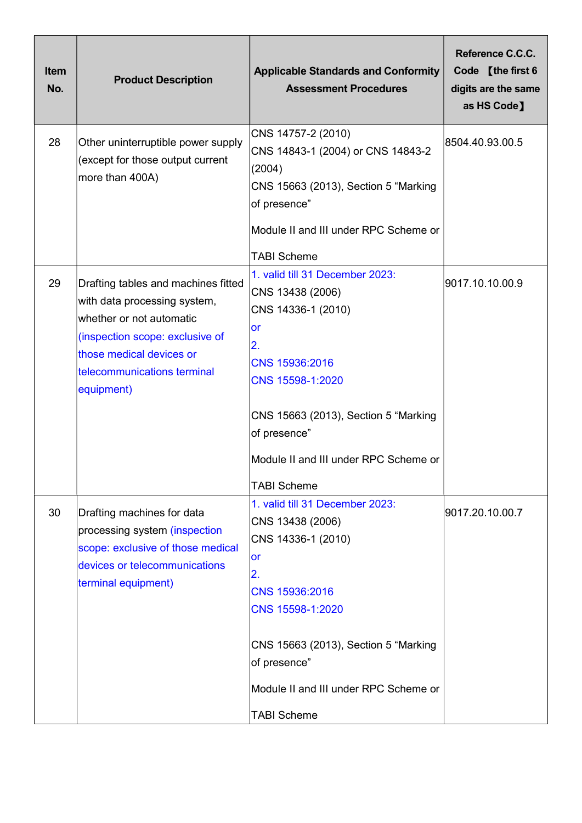| <b>Item</b><br>No. | <b>Product Description</b>                                                                                                                                                                                  | <b>Applicable Standards and Conformity</b><br><b>Assessment Procedures</b>                                                                                                                                                                         | Reference C.C.C.<br>Code [the first 6<br>digits are the same<br>as HS Code] |
|--------------------|-------------------------------------------------------------------------------------------------------------------------------------------------------------------------------------------------------------|----------------------------------------------------------------------------------------------------------------------------------------------------------------------------------------------------------------------------------------------------|-----------------------------------------------------------------------------|
| 28                 | Other uninterruptible power supply<br>(except for those output current<br>more than 400A)                                                                                                                   | CNS 14757-2 (2010)<br>CNS 14843-1 (2004) or CNS 14843-2<br>(2004)<br>CNS 15663 (2013), Section 5 "Marking<br>of presence"<br>Module II and III under RPC Scheme or<br><b>TABI Scheme</b>                                                           | 8504.40.93.00.5                                                             |
| 29                 | Drafting tables and machines fitted<br>with data processing system,<br>whether or not automatic<br>(inspection scope: exclusive of<br>those medical devices or<br>telecommunications terminal<br>equipment) | 1. valid till 31 December 2023:<br>CNS 13438 (2006)<br>CNS 14336-1 (2010)<br>or<br>2.<br>CNS 15936:2016<br>CNS 15598-1:2020<br>CNS 15663 (2013), Section 5 "Marking<br>of presence"<br>Module II and III under RPC Scheme or<br><b>TABI Scheme</b> | 9017.10.10.00.9                                                             |
| 30                 | Drafting machines for data<br>processing system (inspection<br>scope: exclusive of those medical<br>devices or telecommunications<br>terminal equipment)                                                    | 1. valid till 31 December 2023:<br>CNS 13438 (2006)<br>CNS 14336-1 (2010)<br>or<br>2.<br>CNS 15936:2016<br>CNS 15598-1:2020<br>CNS 15663 (2013), Section 5 "Marking<br>of presence"<br>Module II and III under RPC Scheme or<br><b>TABI Scheme</b> | 9017.20.10.00.7                                                             |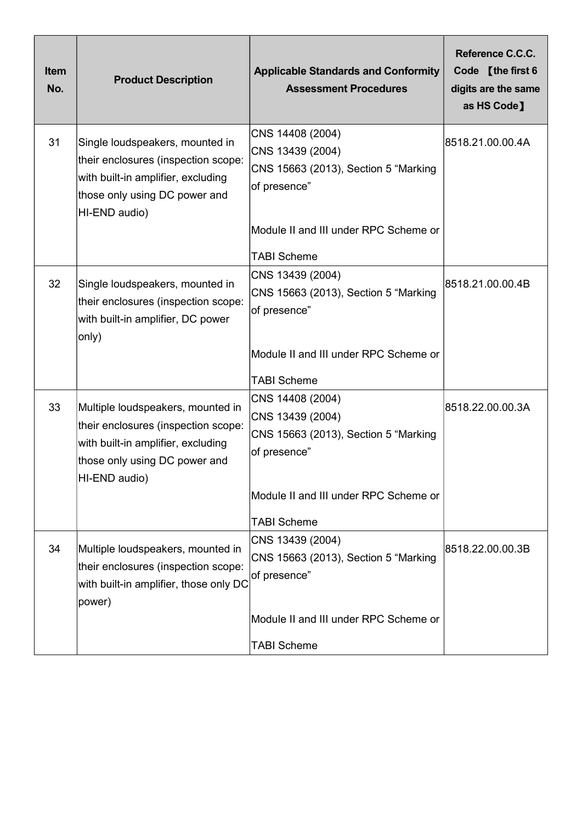| Item<br>No. | <b>Product Description</b>                                                                                                                                       | <b>Applicable Standards and Conformity</b><br><b>Assessment Procedures</b>                                                                                  | Reference C.C.C.<br>Code [the first 6<br>digits are the same<br>as HS Code] |
|-------------|------------------------------------------------------------------------------------------------------------------------------------------------------------------|-------------------------------------------------------------------------------------------------------------------------------------------------------------|-----------------------------------------------------------------------------|
| 31          | Single loudspeakers, mounted in<br>their enclosures (inspection scope:<br>with built-in amplifier, excluding<br>those only using DC power and<br>HI-END audio)   | CNS 14408 (2004)<br>CNS 13439 (2004)<br>CNS 15663 (2013), Section 5 "Marking<br>of presence"<br>Module II and III under RPC Scheme or<br><b>TABI Scheme</b> | 8518.21.00.00.4A                                                            |
| 32          | Single loudspeakers, mounted in<br>their enclosures (inspection scope:<br>with built-in amplifier, DC power<br>only)                                             | CNS 13439 (2004)<br>CNS 15663 (2013), Section 5 "Marking<br>of presence"<br>Module II and III under RPC Scheme or<br><b>TABI Scheme</b>                     | 8518.21.00.00.4B                                                            |
| 33          | Multiple loudspeakers, mounted in<br>their enclosures (inspection scope:<br>with built-in amplifier, excluding<br>those only using DC power and<br>HI-END audio) | CNS 14408 (2004)<br>CNS 13439 (2004)<br>CNS 15663 (2013), Section 5 "Marking<br>of presence"<br>Module II and III under RPC Scheme or<br><b>TABI Scheme</b> | 8518.22.00.00.3A                                                            |
| 34          | Multiple loudspeakers, mounted in<br>their enclosures (inspection scope:<br>with built-in amplifier, those only DC<br>power)                                     | CNS 13439 (2004)<br>CNS 15663 (2013), Section 5 "Marking<br>of presence"<br>Module II and III under RPC Scheme or<br><b>TABI Scheme</b>                     | 8518.22.00.00.3B                                                            |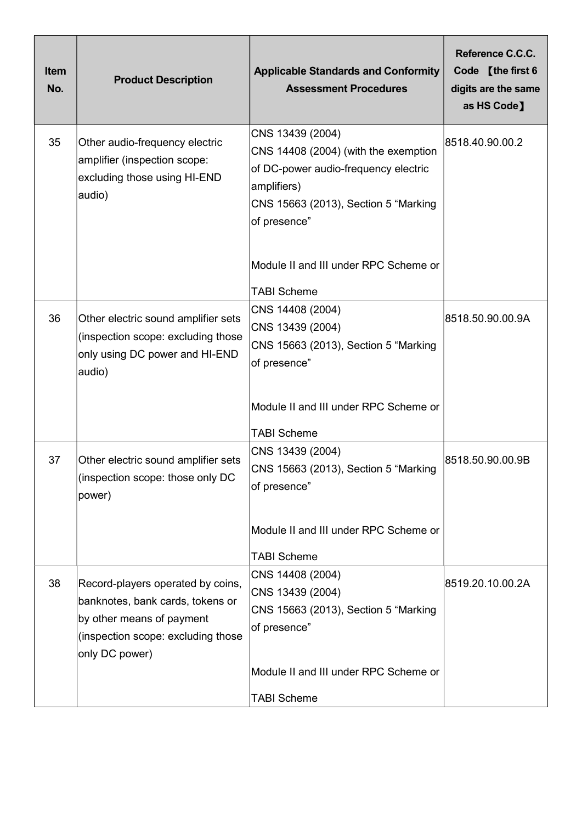| <b>Item</b><br>No. | <b>Product Description</b>                                                                                                                                 | <b>Applicable Standards and Conformity</b><br><b>Assessment Procedures</b>                                                                                              | Reference C.C.C.<br>Code [the first 6<br>digits are the same<br>as HS Code] |
|--------------------|------------------------------------------------------------------------------------------------------------------------------------------------------------|-------------------------------------------------------------------------------------------------------------------------------------------------------------------------|-----------------------------------------------------------------------------|
| 35                 | Other audio-frequency electric<br>amplifier (inspection scope:<br>excluding those using HI-END<br>audio)                                                   | CNS 13439 (2004)<br>CNS 14408 (2004) (with the exemption<br>of DC-power audio-frequency electric<br>amplifiers)<br>CNS 15663 (2013), Section 5 "Marking<br>of presence" | 8518.40.90.00.2                                                             |
|                    |                                                                                                                                                            | Module II and III under RPC Scheme or<br><b>TABI Scheme</b>                                                                                                             |                                                                             |
| 36                 | Other electric sound amplifier sets<br>(inspection scope: excluding those<br>only using DC power and HI-END<br>audio)                                      | CNS 14408 (2004)<br>CNS 13439 (2004)<br>CNS 15663 (2013), Section 5 "Marking<br>of presence"                                                                            | 8518.50.90.00.9A                                                            |
|                    |                                                                                                                                                            | Module II and III under RPC Scheme or<br><b>TABI Scheme</b>                                                                                                             |                                                                             |
| 37                 | Other electric sound amplifier sets<br>(inspection scope: those only DC<br>power)                                                                          | CNS 13439 (2004)<br>CNS 15663 (2013), Section 5 "Marking<br>of presence"                                                                                                | 8518.50.90.00.9B                                                            |
|                    |                                                                                                                                                            | Module II and III under RPC Scheme or<br><b>TABI Scheme</b>                                                                                                             |                                                                             |
| 38                 | Record-players operated by coins,<br>banknotes, bank cards, tokens or<br>by other means of payment<br>(inspection scope: excluding those<br>only DC power) | CNS 14408 (2004)<br>CNS 13439 (2004)<br>CNS 15663 (2013), Section 5 "Marking<br>of presence"<br>Module II and III under RPC Scheme or                                   | 8519.20.10.00.2A                                                            |
|                    |                                                                                                                                                            | <b>TABI Scheme</b>                                                                                                                                                      |                                                                             |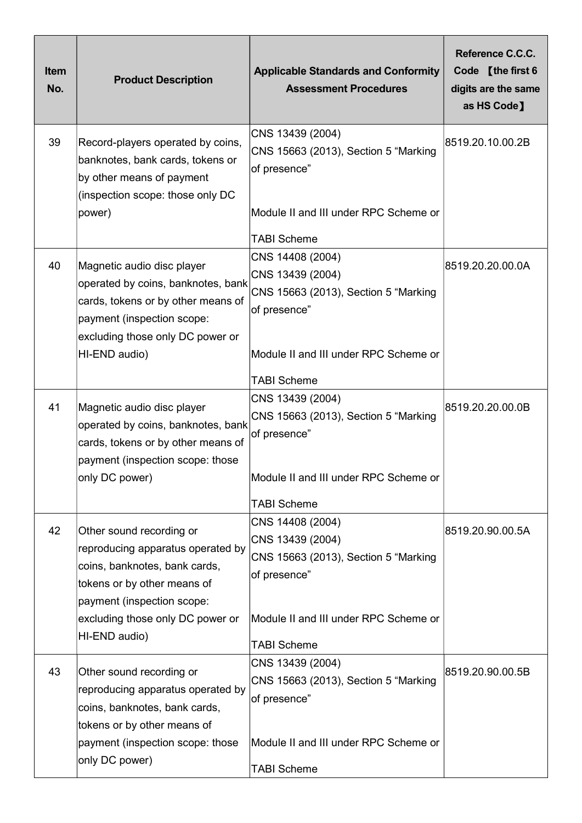| <b>Item</b><br>No. | <b>Product Description</b>                                                                                                                                                                                       | <b>Applicable Standards and Conformity</b><br><b>Assessment Procedures</b>                                                                                  | Reference C.C.C.<br>Code [the first 6<br>digits are the same<br>as HS Code] |
|--------------------|------------------------------------------------------------------------------------------------------------------------------------------------------------------------------------------------------------------|-------------------------------------------------------------------------------------------------------------------------------------------------------------|-----------------------------------------------------------------------------|
| 39                 | Record-players operated by coins,<br>banknotes, bank cards, tokens or<br>by other means of payment<br>(inspection scope: those only DC<br>power)                                                                 | CNS 13439 (2004)<br>CNS 15663 (2013), Section 5 "Marking<br>of presence"<br>Module II and III under RPC Scheme or<br><b>TABI Scheme</b>                     | 8519.20.10.00.2B                                                            |
| 40                 | Magnetic audio disc player<br>operated by coins, banknotes, bank<br>cards, tokens or by other means of<br>payment (inspection scope:<br>excluding those only DC power or<br>HI-END audio)                        | CNS 14408 (2004)<br>CNS 13439 (2004)<br>CNS 15663 (2013), Section 5 "Marking<br>of presence"<br>Module II and III under RPC Scheme or<br><b>TABI Scheme</b> | 8519.20.20.00.0A                                                            |
| 41                 | Magnetic audio disc player<br>operated by coins, banknotes, bank<br>cards, tokens or by other means of<br>payment (inspection scope: those<br>only DC power)                                                     | CNS 13439 (2004)<br>CNS 15663 (2013), Section 5 "Marking<br>of presence"<br>Module II and III under RPC Scheme or<br><b>TABI Scheme</b>                     | 8519.20.20.00.0B                                                            |
| 42                 | Other sound recording or<br>reproducing apparatus operated by<br>coins, banknotes, bank cards,<br>tokens or by other means of<br>payment (inspection scope:<br>excluding those only DC power or<br>HI-END audio) | CNS 14408 (2004)<br>CNS 13439 (2004)<br>CNS 15663 (2013), Section 5 "Marking<br>of presence"<br>Module II and III under RPC Scheme or<br><b>TABI Scheme</b> | 8519.20.90.00.5A                                                            |
| 43                 | Other sound recording or<br>reproducing apparatus operated by<br>coins, banknotes, bank cards,<br>tokens or by other means of<br>payment (inspection scope: those<br>only DC power)                              | CNS 13439 (2004)<br>CNS 15663 (2013), Section 5 "Marking<br>of presence"<br>Module II and III under RPC Scheme or<br><b>TABI Scheme</b>                     | 8519.20.90.00.5B                                                            |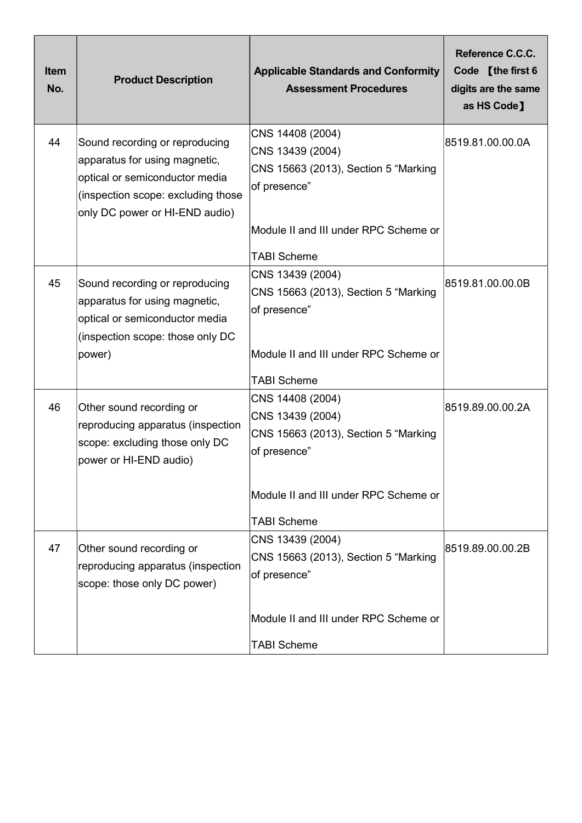| <b>Item</b><br>No. | <b>Product Description</b>                                                                                                                                                | <b>Applicable Standards and Conformity</b><br><b>Assessment Procedures</b>                                                                                  | Reference C.C.C.<br>Code [the first 6<br>digits are the same<br>as HS Code] |
|--------------------|---------------------------------------------------------------------------------------------------------------------------------------------------------------------------|-------------------------------------------------------------------------------------------------------------------------------------------------------------|-----------------------------------------------------------------------------|
| 44                 | Sound recording or reproducing<br>apparatus for using magnetic,<br>optical or semiconductor media<br>(inspection scope: excluding those<br>only DC power or HI-END audio) | CNS 14408 (2004)<br>CNS 13439 (2004)<br>CNS 15663 (2013), Section 5 "Marking<br>of presence"<br>Module II and III under RPC Scheme or<br><b>TABI Scheme</b> | 8519.81.00.00.0A                                                            |
| 45                 | Sound recording or reproducing<br>apparatus for using magnetic,<br>optical or semiconductor media<br>(inspection scope: those only DC<br>power)                           | CNS 13439 (2004)<br>CNS 15663 (2013), Section 5 "Marking<br>of presence"<br>Module II and III under RPC Scheme or<br><b>TABI Scheme</b>                     | 8519.81.00.00.0B                                                            |
| 46                 | Other sound recording or<br>reproducing apparatus (inspection<br>scope: excluding those only DC<br>power or HI-END audio)                                                 | CNS 14408 (2004)<br>CNS 13439 (2004)<br>CNS 15663 (2013), Section 5 "Marking<br>of presence"<br>Module II and III under RPC Scheme or<br><b>TABI Scheme</b> | 8519.89.00.00.2A                                                            |
| 47                 | Other sound recording or<br>reproducing apparatus (inspection<br>scope: those only DC power)                                                                              | CNS 13439 (2004)<br>CNS 15663 (2013), Section 5 "Marking<br>of presence"<br>Module II and III under RPC Scheme or<br><b>TABI Scheme</b>                     | 8519.89.00.00.2B                                                            |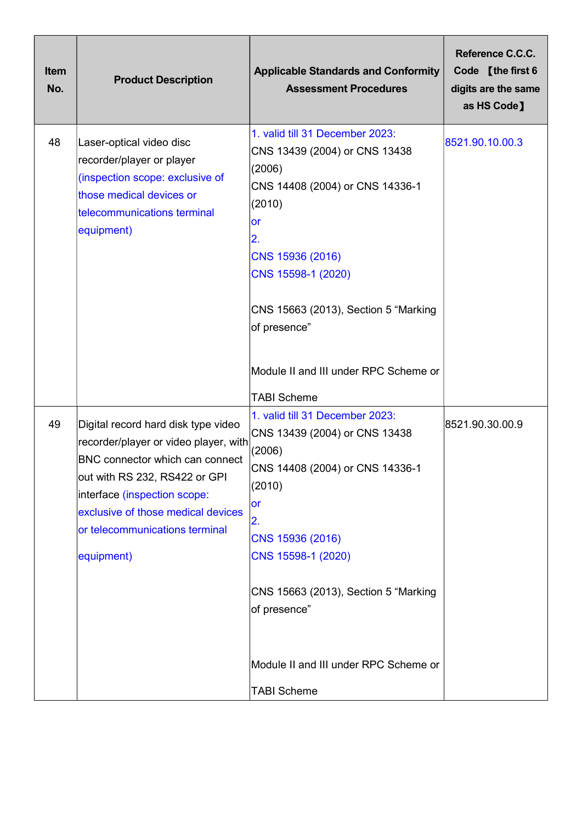| Item<br>No. | <b>Product Description</b>                                                                                                                                                                                                                                                    | <b>Applicable Standards and Conformity</b><br><b>Assessment Procedures</b>                                                                                                                                                                    | Reference C.C.C.<br>Code [the first 6<br>digits are the same<br>as HS Code] |
|-------------|-------------------------------------------------------------------------------------------------------------------------------------------------------------------------------------------------------------------------------------------------------------------------------|-----------------------------------------------------------------------------------------------------------------------------------------------------------------------------------------------------------------------------------------------|-----------------------------------------------------------------------------|
| 48          | Laser-optical video disc<br>recorder/player or player<br>(inspection scope: exclusive of<br>those medical devices or<br>telecommunications terminal<br>equipment)                                                                                                             | 1. valid till 31 December 2023:<br>CNS 13439 (2004) or CNS 13438<br>(2006)<br>CNS 14408 (2004) or CNS 14336-1<br>(2010)<br><b>or</b><br> 2.<br>CNS 15936 (2016)<br>CNS 15598-1 (2020)<br>CNS 15663 (2013), Section 5 "Marking<br>of presence" | 8521.90.10.00.3                                                             |
|             |                                                                                                                                                                                                                                                                               | Module II and III under RPC Scheme or<br><b>TABI Scheme</b>                                                                                                                                                                                   |                                                                             |
| 49          | Digital record hard disk type video<br>recorder/player or video player, with<br><b>BNC connector which can connect</b><br>out with RS 232, RS422 or GPI<br>interface (inspection scope:<br>exclusive of those medical devices<br>or telecommunications terminal<br>equipment) | 1. valid till 31 December 2023:<br>CNS 13439 (2004) or CNS 13438<br>(2006)<br>CNS 14408 (2004) or CNS 14336-1<br>(2010)<br>or<br>2.<br>CNS 15936 (2016)<br>CNS 15598-1 (2020)<br>CNS 15663 (2013), Section 5 "Marking<br>of presence"         | 8521.90.30.00.9                                                             |
|             |                                                                                                                                                                                                                                                                               | Module II and III under RPC Scheme or<br><b>TABI Scheme</b>                                                                                                                                                                                   |                                                                             |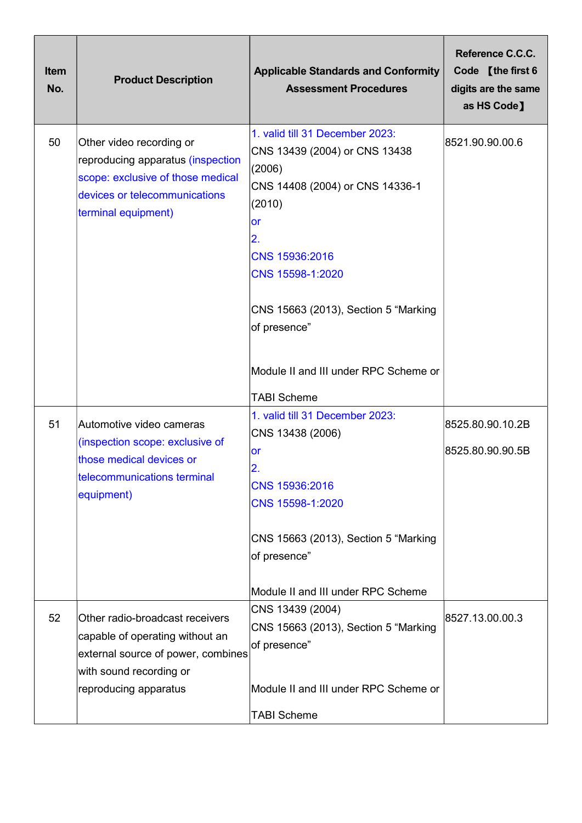| <b>Item</b><br>No. | <b>Product Description</b>                                                                                                                                   | <b>Applicable Standards and Conformity</b><br><b>Assessment Procedures</b>                                                                                                                                                                                                                       | Reference C.C.C.<br>Code [the first 6<br>digits are the same<br>as HS Code] |
|--------------------|--------------------------------------------------------------------------------------------------------------------------------------------------------------|--------------------------------------------------------------------------------------------------------------------------------------------------------------------------------------------------------------------------------------------------------------------------------------------------|-----------------------------------------------------------------------------|
| 50                 | Other video recording or<br>reproducing apparatus (inspection<br>scope: exclusive of those medical<br>devices or telecommunications<br>terminal equipment)   | 1. valid till 31 December 2023:<br>CNS 13439 (2004) or CNS 13438<br>(2006)<br>CNS 14408 (2004) or CNS 14336-1<br>(2010)<br>or<br>2.<br>CNS 15936:2016<br>CNS 15598-1:2020<br>CNS 15663 (2013), Section 5 "Marking<br>of presence"<br>Module II and III under RPC Scheme or<br><b>TABI Scheme</b> | 8521.90.90.00.6                                                             |
| 51                 | Automotive video cameras<br>(inspection scope: exclusive of<br>those medical devices or<br>telecommunications terminal<br>equipment)                         | 1. valid till 31 December 2023:<br>CNS 13438 (2006)<br><b>or</b><br>2.<br>CNS 15936:2016<br>CNS 15598-1:2020<br>CNS 15663 (2013), Section 5 "Marking<br>of presence"<br>Module II and III under RPC Scheme                                                                                       | 8525.80.90.10.2B<br>8525.80.90.90.5B                                        |
| 52                 | Other radio-broadcast receivers<br>capable of operating without an<br>external source of power, combines<br>with sound recording or<br>reproducing apparatus | CNS 13439 (2004)<br>CNS 15663 (2013), Section 5 "Marking<br>of presence"<br>Module II and III under RPC Scheme or<br><b>TABI Scheme</b>                                                                                                                                                          | 8527.13.00.00.3                                                             |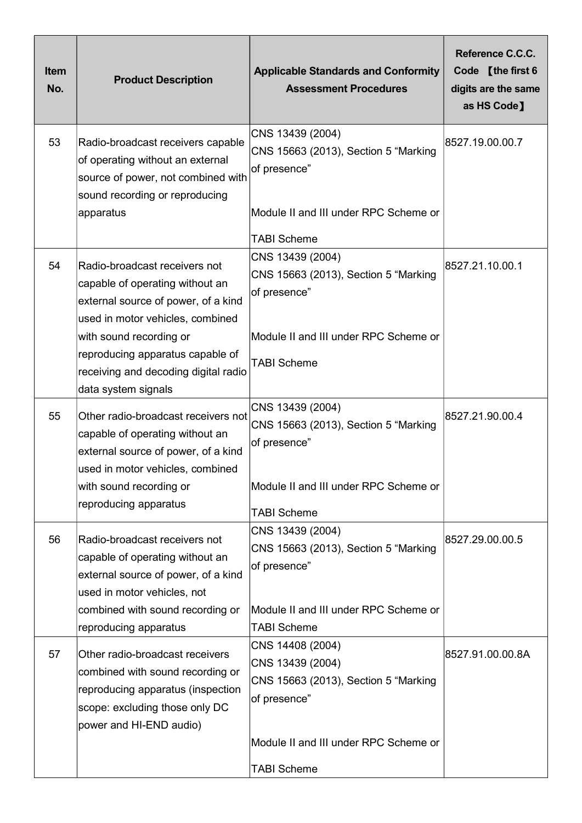| <b>Item</b><br>No. | <b>Product Description</b>                                                                                                                                                                                                                                                | <b>Applicable Standards and Conformity</b><br><b>Assessment Procedures</b>                                                                                  | Reference C.C.C.<br>Code [the first 6<br>digits are the same<br>as HS Code] |
|--------------------|---------------------------------------------------------------------------------------------------------------------------------------------------------------------------------------------------------------------------------------------------------------------------|-------------------------------------------------------------------------------------------------------------------------------------------------------------|-----------------------------------------------------------------------------|
| 53                 | Radio-broadcast receivers capable<br>of operating without an external<br>source of power, not combined with<br>sound recording or reproducing<br>apparatus                                                                                                                | CNS 13439 (2004)<br>CNS 15663 (2013), Section 5 "Marking<br>of presence"<br>Module II and III under RPC Scheme or<br><b>TABI Scheme</b>                     | 8527.19.00.00.7                                                             |
| 54                 | Radio-broadcast receivers not<br>capable of operating without an<br>external source of power, of a kind<br>used in motor vehicles, combined<br>with sound recording or<br>reproducing apparatus capable of<br>receiving and decoding digital radio<br>data system signals | CNS 13439 (2004)<br>CNS 15663 (2013), Section 5 "Marking<br>of presence"<br>Module II and III under RPC Scheme or<br><b>TABI Scheme</b>                     | 8527.21.10.00.1                                                             |
| 55                 | Other radio-broadcast receivers not<br>capable of operating without an<br>external source of power, of a kind<br>used in motor vehicles, combined<br>with sound recording or<br>reproducing apparatus                                                                     | CNS 13439 (2004)<br>CNS 15663 (2013), Section 5 "Marking<br>of presence"<br>Module II and III under RPC Scheme or<br><b>TABI Scheme</b>                     | 8527.21.90.00.4                                                             |
| 56                 | Radio-broadcast receivers not<br>capable of operating without an<br>external source of power, of a kind<br>used in motor vehicles, not<br>combined with sound recording or<br>reproducing apparatus                                                                       | CNS 13439 (2004)<br>CNS 15663 (2013), Section 5 "Marking<br>of presence"<br>Module II and III under RPC Scheme or<br><b>TABI Scheme</b>                     | 8527.29.00.00.5                                                             |
| 57                 | Other radio-broadcast receivers<br>combined with sound recording or<br>reproducing apparatus (inspection<br>scope: excluding those only DC<br>power and HI-END audio)                                                                                                     | CNS 14408 (2004)<br>CNS 13439 (2004)<br>CNS 15663 (2013), Section 5 "Marking<br>of presence"<br>Module II and III under RPC Scheme or<br><b>TABI Scheme</b> | 8527.91.00.00.8A                                                            |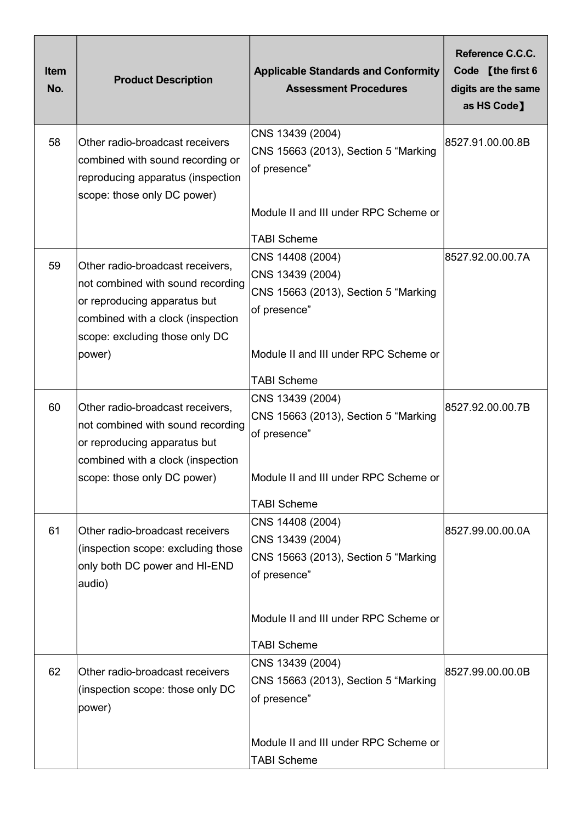| <b>Item</b><br>No. | <b>Product Description</b>                                                                                                                                                             | <b>Applicable Standards and Conformity</b><br><b>Assessment Procedures</b>                                                                                  | Reference C.C.C.<br>Code [the first 6<br>digits are the same<br>as HS Code] |
|--------------------|----------------------------------------------------------------------------------------------------------------------------------------------------------------------------------------|-------------------------------------------------------------------------------------------------------------------------------------------------------------|-----------------------------------------------------------------------------|
| 58                 | Other radio-broadcast receivers<br>combined with sound recording or<br>reproducing apparatus (inspection<br>scope: those only DC power)                                                | CNS 13439 (2004)<br>CNS 15663 (2013), Section 5 "Marking<br>of presence"<br>Module II and III under RPC Scheme or<br><b>TABI Scheme</b>                     | 8527.91.00.00.8B                                                            |
| 59                 | Other radio-broadcast receivers,<br>not combined with sound recording<br>or reproducing apparatus but<br>combined with a clock (inspection<br>scope: excluding those only DC<br>power) | CNS 14408 (2004)<br>CNS 13439 (2004)<br>CNS 15663 (2013), Section 5 "Marking<br>of presence"<br>Module II and III under RPC Scheme or<br><b>TABI Scheme</b> | 8527.92.00.00.7A                                                            |
| 60                 | Other radio-broadcast receivers,<br>not combined with sound recording<br>or reproducing apparatus but<br>combined with a clock (inspection<br>scope: those only DC power)              | CNS 13439 (2004)<br>CNS 15663 (2013), Section 5 "Marking<br>of presence"<br>Module II and III under RPC Scheme or<br><b>TABI Scheme</b>                     | 8527.92.00.00.7B                                                            |
| 61                 | Other radio-broadcast receivers<br>(inspection scope: excluding those<br>only both DC power and HI-END<br>audio)                                                                       | CNS 14408 (2004)<br>CNS 13439 (2004)<br>CNS 15663 (2013), Section 5 "Marking<br>of presence"<br>Module II and III under RPC Scheme or<br><b>TABI Scheme</b> | 8527.99.00.00.0A                                                            |
| 62                 | Other radio-broadcast receivers<br>(inspection scope: those only DC<br>power)                                                                                                          | CNS 13439 (2004)<br>CNS 15663 (2013), Section 5 "Marking<br>of presence"<br>Module II and III under RPC Scheme or<br><b>TABI Scheme</b>                     | 8527.99.00.00.0B                                                            |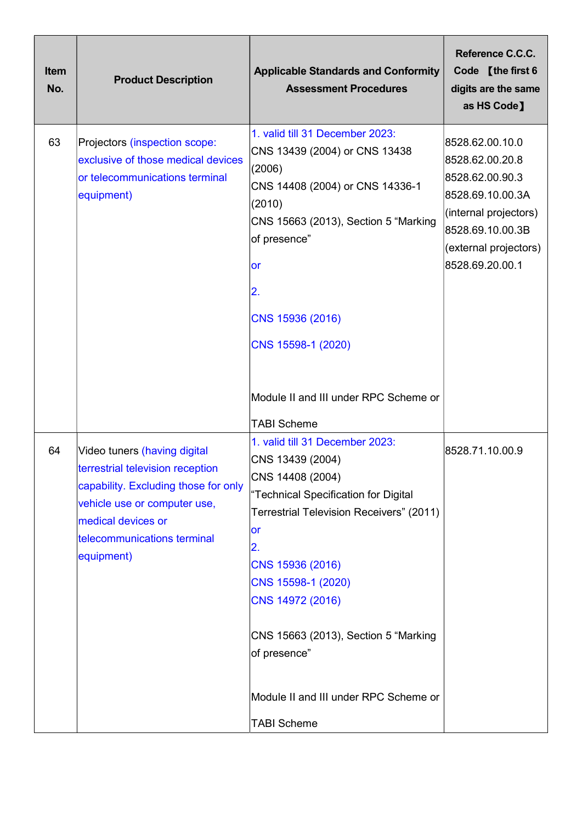| <b>Item</b><br>No. | <b>Product Description</b>                                                                                                                                                                                  | <b>Applicable Standards and Conformity</b><br><b>Assessment Procedures</b>                                                                                                                                                                                                                                                                                   | Reference C.C.C.<br>Code [the first 6<br>digits are the same<br>as HS Code]                                                                                        |
|--------------------|-------------------------------------------------------------------------------------------------------------------------------------------------------------------------------------------------------------|--------------------------------------------------------------------------------------------------------------------------------------------------------------------------------------------------------------------------------------------------------------------------------------------------------------------------------------------------------------|--------------------------------------------------------------------------------------------------------------------------------------------------------------------|
| 63                 | Projectors (inspection scope:<br>exclusive of those medical devices<br>or telecommunications terminal<br>equipment)                                                                                         | 1. valid till 31 December 2023:<br>CNS 13439 (2004) or CNS 13438<br>(2006)<br>CNS 14408 (2004) or CNS 14336-1<br>(2010)<br>CNS 15663 (2013), Section 5 "Marking<br>of presence"<br>lor<br> 2.<br>CNS 15936 (2016)<br>CNS 15598-1 (2020)                                                                                                                      | 8528.62.00.10.0<br>8528.62.00.20.8<br>8528.62.00.90.3<br>8528.69.10.00.3A<br>(internal projectors)<br>8528.69.10.00.3B<br>(external projectors)<br>8528.69.20.00.1 |
|                    |                                                                                                                                                                                                             | Module II and III under RPC Scheme or                                                                                                                                                                                                                                                                                                                        |                                                                                                                                                                    |
| 64                 | Video tuners (having digital<br>terrestrial television reception<br>capability. Excluding those for only<br>vehicle use or computer use,<br>medical devices or<br>telecommunications terminal<br>equipment) | <b>TABI Scheme</b><br>1. valid till 31 December 2023:<br>CNS 13439 (2004)<br>CNS 14408 (2004)<br>"Technical Specification for Digital<br>Terrestrial Television Receivers" (2011)<br>or<br>2.<br>CNS 15936 (2016)<br>CNS 15598-1 (2020)<br>CNS 14972 (2016)<br>CNS 15663 (2013), Section 5 "Marking<br>of presence"<br>Module II and III under RPC Scheme or | 8528.71.10.00.9                                                                                                                                                    |
|                    |                                                                                                                                                                                                             | <b>TABI Scheme</b>                                                                                                                                                                                                                                                                                                                                           |                                                                                                                                                                    |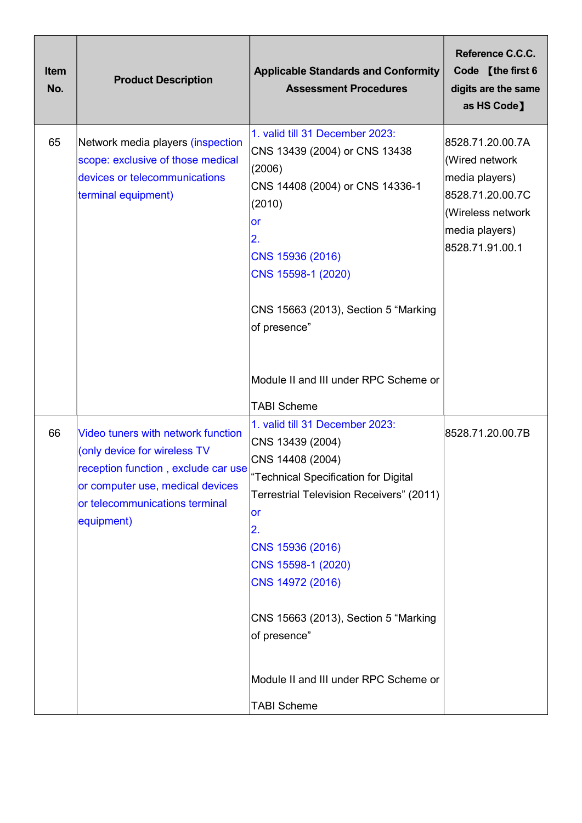| <b>Item</b><br>No. | <b>Product Description</b>                                                                                                                                                                    | <b>Applicable Standards and Conformity</b><br><b>Assessment Procedures</b>                                                                                                                                                                                                                                                             | Reference C.C.C.<br>Code [the first 6<br>digits are the same<br>as HS Code]                                                        |
|--------------------|-----------------------------------------------------------------------------------------------------------------------------------------------------------------------------------------------|----------------------------------------------------------------------------------------------------------------------------------------------------------------------------------------------------------------------------------------------------------------------------------------------------------------------------------------|------------------------------------------------------------------------------------------------------------------------------------|
| 65                 | Network media players (inspection<br>scope: exclusive of those medical<br>devices or telecommunications<br>terminal equipment)                                                                | 1. valid till 31 December 2023:<br>CNS 13439 (2004) or CNS 13438<br>(2006)<br>CNS 14408 (2004) or CNS 14336-1<br>(2010)<br>lor<br> 2.<br>CNS 15936 (2016)<br>CNS 15598-1 (2020)<br>CNS 15663 (2013), Section 5 "Marking<br>of presence"                                                                                                | 8528.71.20.00.7A<br>(Wired network<br>media players)<br>8528.71.20.00.7C<br>(Wireless network<br>media players)<br>8528.71.91.00.1 |
|                    |                                                                                                                                                                                               | Module II and III under RPC Scheme or<br><b>TABI Scheme</b>                                                                                                                                                                                                                                                                            |                                                                                                                                    |
| 66                 | Video tuners with network function<br>(only device for wireless TV<br>reception function, exclude car use<br>or computer use, medical devices<br>or telecommunications terminal<br>equipment) | 1. valid till 31 December 2023:<br>CNS 13439 (2004)<br>CNS 14408 (2004)<br>"Technical Specification for Digital<br>Terrestrial Television Receivers" (2011)<br>or<br>2.<br>CNS 15936 (2016)<br>CNS 15598-1 (2020)<br>CNS 14972 (2016)<br>CNS 15663 (2013), Section 5 "Marking<br>of presence"<br>Module II and III under RPC Scheme or | 8528.71.20.00.7B                                                                                                                   |
|                    |                                                                                                                                                                                               | <b>TABI Scheme</b>                                                                                                                                                                                                                                                                                                                     |                                                                                                                                    |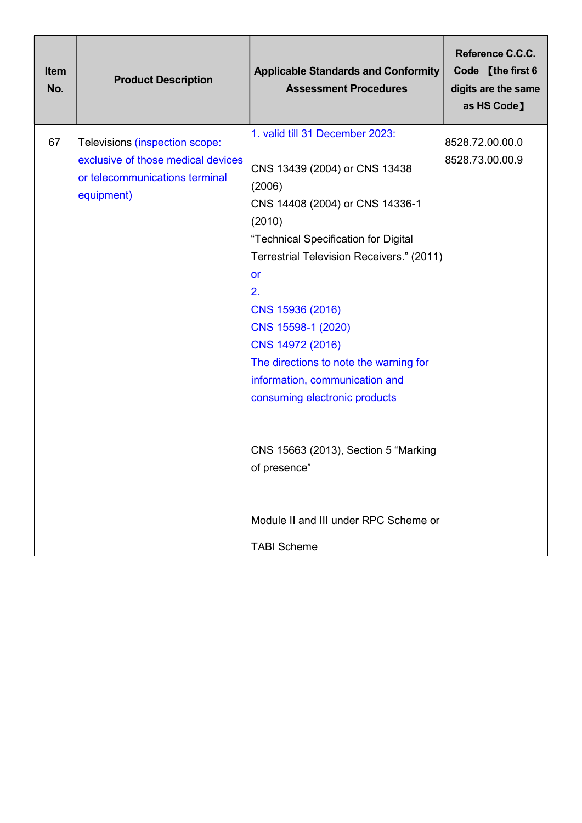| 1. valid till 31 December 2023:<br>67<br>Televisions (inspection scope:<br>exclusive of those medical devices<br>CNS 13439 (2004) or CNS 13438<br>or telecommunications terminal<br>(2006)<br>equipment)<br>CNS 14408 (2004) or CNS 14336-1<br>(2010)<br>"Technical Specification for Digital<br>Terrestrial Television Receivers." (2011)<br><b>or</b><br>2.<br>CNS 15936 (2016)<br>CNS 15598-1 (2020)<br>CNS 14972 (2016)<br>The directions to note the warning for<br>information, communication and<br>consuming electronic products<br>CNS 15663 (2013), Section 5 "Marking<br>of presence"<br>Module II and III under RPC Scheme or<br><b>TABI Scheme</b> | 8528.72.00.00.0<br>8528.73.00.00.9 |
|-----------------------------------------------------------------------------------------------------------------------------------------------------------------------------------------------------------------------------------------------------------------------------------------------------------------------------------------------------------------------------------------------------------------------------------------------------------------------------------------------------------------------------------------------------------------------------------------------------------------------------------------------------------------|------------------------------------|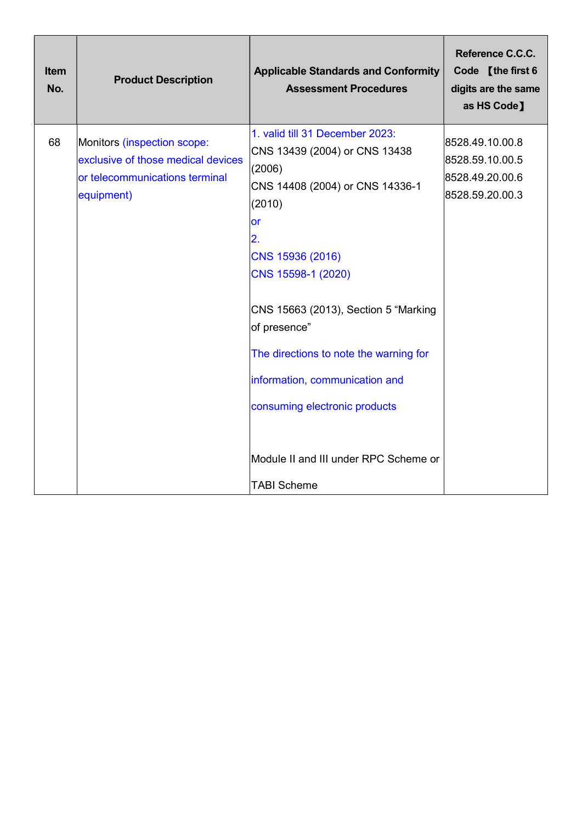| <b>Item</b><br>No. | <b>Product Description</b>                                                                                        | <b>Applicable Standards and Conformity</b><br><b>Assessment Procedures</b>                                                                                                                                                                                                                                                                                                                                        | Reference C.C.C.<br>Code [the first 6<br>digits are the same<br>as HS Code] |
|--------------------|-------------------------------------------------------------------------------------------------------------------|-------------------------------------------------------------------------------------------------------------------------------------------------------------------------------------------------------------------------------------------------------------------------------------------------------------------------------------------------------------------------------------------------------------------|-----------------------------------------------------------------------------|
| 68                 | Monitors (inspection scope:<br>exclusive of those medical devices<br>or telecommunications terminal<br>equipment) | 1. valid till 31 December 2023:<br>CNS 13439 (2004) or CNS 13438<br>(2006)<br>CNS 14408 (2004) or CNS 14336-1<br>(2010)<br>or<br>2.<br>CNS 15936 (2016)<br>CNS 15598-1 (2020)<br>CNS 15663 (2013), Section 5 "Marking<br>of presence"<br>The directions to note the warning for<br>information, communication and<br>consuming electronic products<br>Module II and III under RPC Scheme or<br><b>TABI Scheme</b> | 8528.49.10.00.8<br>8528.59.10.00.5<br>8528.49.20.00.6<br>8528.59.20.00.3    |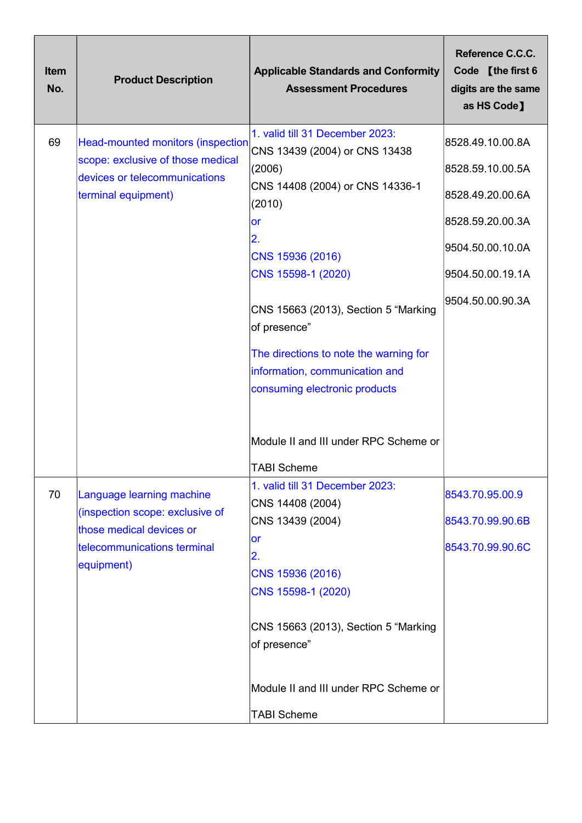| Item<br>No. | <b>Product Description</b>                                                                                                            | <b>Applicable Standards and Conformity</b><br><b>Assessment Procedures</b>                                                                                                                                                                                                                                                                                                                         | Reference C.C.C.<br>Code [the first 6<br>digits are the same<br>as HS Code]                                                              |
|-------------|---------------------------------------------------------------------------------------------------------------------------------------|----------------------------------------------------------------------------------------------------------------------------------------------------------------------------------------------------------------------------------------------------------------------------------------------------------------------------------------------------------------------------------------------------|------------------------------------------------------------------------------------------------------------------------------------------|
| 69          | <b>Head-mounted monitors (inspection</b><br>scope: exclusive of those medical<br>devices or telecommunications<br>terminal equipment) | 1. valid till 31 December 2023:<br>CNS 13439 (2004) or CNS 13438<br>(2006)<br>CNS 14408 (2004) or CNS 14336-1<br>(2010)<br><b>or</b><br>2.<br>CNS 15936 (2016)<br>CNS 15598-1 (2020)<br>CNS 15663 (2013), Section 5 "Marking<br>of presence"<br>The directions to note the warning for<br>information, communication and<br>consuming electronic products<br>Module II and III under RPC Scheme or | 8528.49.10.00.8A<br>8528.59.10.00.5A<br>8528.49.20.00.6A<br>8528.59.20.00.3A<br>9504.50.00.10.0A<br>9504.50.00.19.1A<br>9504.50.00.90.3A |
| 70          | Language learning machine<br>(inspection scope: exclusive of<br>those medical devices or<br>telecommunications terminal<br>equipment) | <b>TABI Scheme</b><br>1. valid till 31 December 2023:<br>CNS 14408 (2004)<br>CNS 13439 (2004)<br>or<br>2.<br>CNS 15936 (2016)<br>CNS 15598-1 (2020)<br>CNS 15663 (2013), Section 5 "Marking<br>of presence"<br>Module II and III under RPC Scheme or<br><b>TABI Scheme</b>                                                                                                                         | 8543.70.95.00.9<br>8543.70.99.90.6B<br>8543.70.99.90.6C                                                                                  |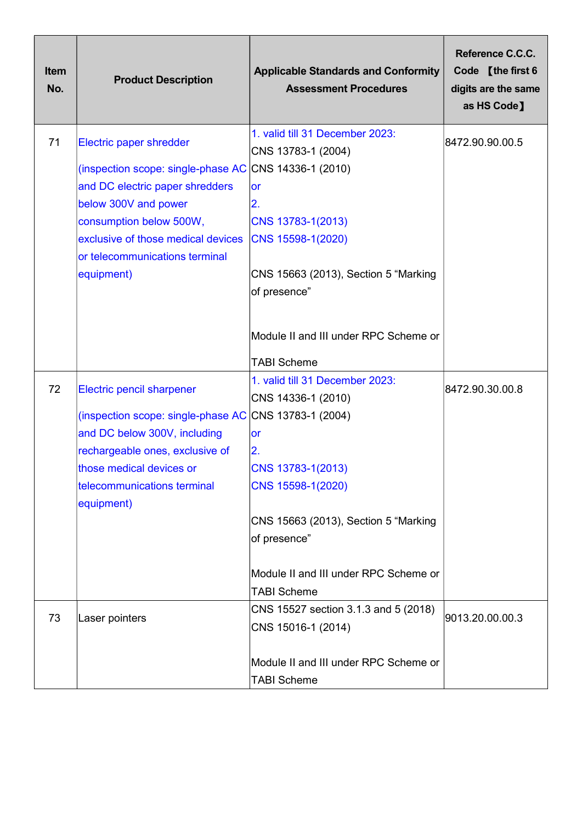| Item<br>No. | <b>Product Description</b>                                                                                                                                                                                                                | <b>Applicable Standards and Conformity</b><br><b>Assessment Procedures</b>                                                                                                                                                                                | Reference C.C.C.<br>Code [the first 6<br>digits are the same<br>as HS Code] |
|-------------|-------------------------------------------------------------------------------------------------------------------------------------------------------------------------------------------------------------------------------------------|-----------------------------------------------------------------------------------------------------------------------------------------------------------------------------------------------------------------------------------------------------------|-----------------------------------------------------------------------------|
| 71          | Electric paper shredder<br>(inspection scope: single-phase AC<br>and DC electric paper shredders<br>below 300V and power<br>consumption below 500W,<br>exclusive of those medical devices<br>or telecommunications terminal<br>equipment) | 1. valid till 31 December 2023:<br>CNS 13783-1 (2004)<br>CNS 14336-1 (2010)<br><b>or</b><br>2.<br>CNS 13783-1(2013)<br>CNS 15598-1(2020)<br>CNS 15663 (2013), Section 5 "Marking<br>of presence"<br>Module II and III under RPC Scheme or                 | 8472.90.90.00.5                                                             |
|             |                                                                                                                                                                                                                                           | <b>TABI Scheme</b>                                                                                                                                                                                                                                        |                                                                             |
| 72          | <b>Electric pencil sharpener</b><br>(inspection scope: single-phase AC<br>and DC below 300V, including<br>rechargeable ones, exclusive of<br>those medical devices or<br>telecommunications terminal<br>equipment)                        | 1. valid till 31 December 2023:<br>CNS 14336-1 (2010)<br>CNS 13783-1 (2004)<br>or<br> 2.<br>CNS 13783-1(2013)<br>CNS 15598-1(2020)<br>CNS 15663 (2013), Section 5 "Marking<br>of presence"<br>Module II and III under RPC Scheme or<br><b>TABI Scheme</b> | 8472.90.30.00.8                                                             |
| 73          | Laser pointers                                                                                                                                                                                                                            | CNS 15527 section 3.1.3 and 5 (2018)<br>CNS 15016-1 (2014)<br>Module II and III under RPC Scheme or                                                                                                                                                       | 9013.20.00.00.3                                                             |
|             |                                                                                                                                                                                                                                           | <b>TABI Scheme</b>                                                                                                                                                                                                                                        |                                                                             |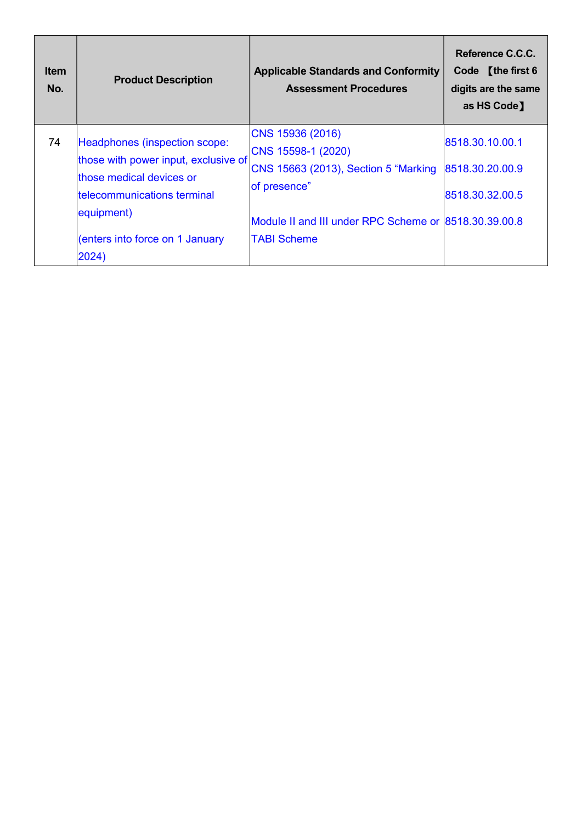| <b>Item</b><br>No. | <b>Product Description</b>                                                                                                                                                                | <b>Applicable Standards and Conformity</b><br><b>Assessment Procedures</b>                                                                                                    | Reference C.C.C.<br>Code [the first 6<br>digits are the same<br>as HS Code] |
|--------------------|-------------------------------------------------------------------------------------------------------------------------------------------------------------------------------------------|-------------------------------------------------------------------------------------------------------------------------------------------------------------------------------|-----------------------------------------------------------------------------|
| 74                 | Headphones (inspection scope:<br>those with power input, exclusive of<br>those medical devices or<br>telecommunications terminal<br>equipment)<br>enters into force on 1 January<br>2024) | CNS 15936 (2016)<br>CNS 15598-1 (2020)<br>CNS 15663 (2013), Section 5 "Marking<br>of presence"<br>Module II and III under RPC Scheme or 8518.30.39.00.8<br><b>TABI Scheme</b> | 8518.30.10.00.1<br>8518.30.20.00.9<br>8518.30.32.00.5                       |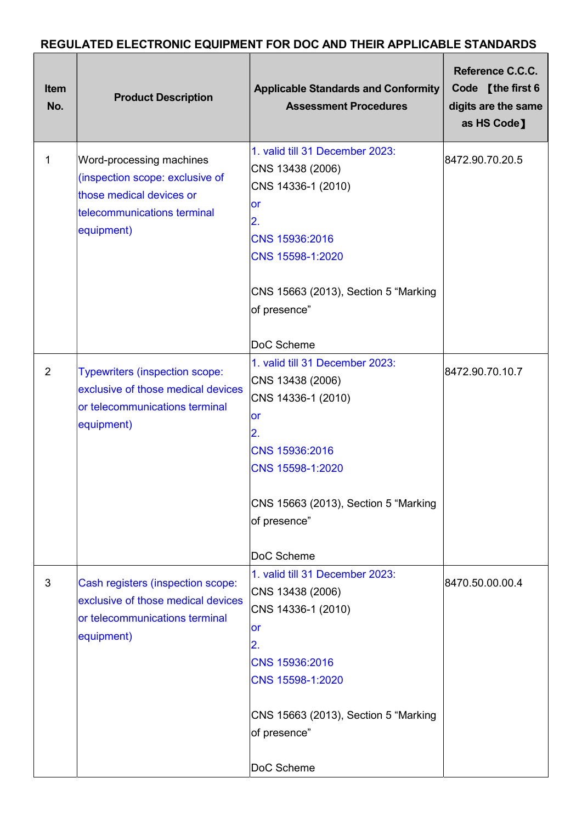## REGULATED ELECTRONIC EQUIPMENT FOR DOC AND THEIR APPLICABLE STANDARDS

| <b>Item</b><br>No. | <b>Product Description</b>                                                                                                           | <b>Applicable Standards and Conformity</b><br><b>Assessment Procedures</b>                                                                                                                               | Reference C.C.C.<br>Code [the first 6<br>digits are the same<br>as HS Code] |
|--------------------|--------------------------------------------------------------------------------------------------------------------------------------|----------------------------------------------------------------------------------------------------------------------------------------------------------------------------------------------------------|-----------------------------------------------------------------------------|
| 1                  | Word-processing machines<br>(inspection scope: exclusive of<br>those medical devices or<br>telecommunications terminal<br>equipment) | 1. valid till 31 December 2023:<br>CNS 13438 (2006)<br>CNS 14336-1 (2010)<br>or<br>2.<br>CNS 15936:2016<br>CNS 15598-1:2020<br>CNS 15663 (2013), Section 5 "Marking<br>of presence"<br>DoC Scheme        | 8472.90.70.20.5                                                             |
| $\overline{2}$     | <b>Typewriters (inspection scope:</b><br>exclusive of those medical devices<br>or telecommunications terminal<br>equipment)          | 1. valid till 31 December 2023:<br>CNS 13438 (2006)<br>CNS 14336-1 (2010)<br><b>or</b><br>2.<br>CNS 15936:2016<br>CNS 15598-1:2020<br>CNS 15663 (2013), Section 5 "Marking<br>of presence"<br>DoC Scheme | 8472.90.70.10.7                                                             |
| 3                  | Cash registers (inspection scope:<br>exclusive of those medical devices<br>or telecommunications terminal<br>equipment)              | 1. valid till 31 December 2023:<br>CNS 13438 (2006)<br>CNS 14336-1 (2010)<br><b>or</b><br>2.<br>CNS 15936:2016<br>CNS 15598-1:2020<br>CNS 15663 (2013), Section 5 "Marking<br>of presence"<br>DoC Scheme | 8470.50.00.00.4                                                             |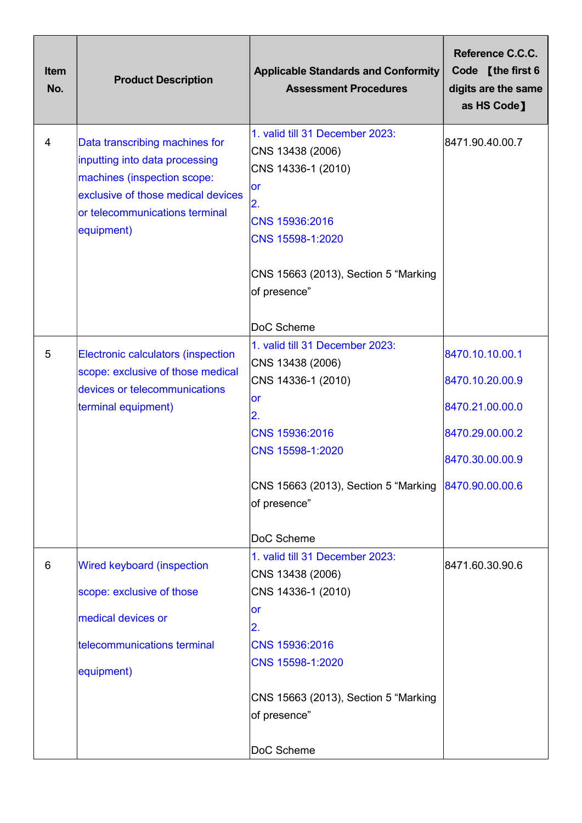| <b>Item</b><br>No. | <b>Product Description</b>                                                                                                                                                            | <b>Applicable Standards and Conformity</b><br><b>Assessment Procedures</b>                                                                                                           | Reference C.C.C.<br>Code [the first 6<br>digits are the same<br>as HS Code] |
|--------------------|---------------------------------------------------------------------------------------------------------------------------------------------------------------------------------------|--------------------------------------------------------------------------------------------------------------------------------------------------------------------------------------|-----------------------------------------------------------------------------|
| $\overline{4}$     | Data transcribing machines for<br>inputting into data processing<br>machines (inspection scope:<br>exclusive of those medical devices<br>or telecommunications terminal<br>equipment) | 1. valid till 31 December 2023:<br>CNS 13438 (2006)<br>CNS 14336-1 (2010)<br>lor<br>2.<br>CNS 15936:2016<br>CNS 15598-1:2020<br>CNS 15663 (2013), Section 5 "Marking<br>of presence" | 8471.90.40.00.7                                                             |
|                    |                                                                                                                                                                                       | DoC Scheme                                                                                                                                                                           |                                                                             |
| 5                  | Electronic calculators (inspection                                                                                                                                                    | 1. valid till 31 December 2023:<br>CNS 13438 (2006)                                                                                                                                  | 8470.10.10.00.1                                                             |
|                    | scope: exclusive of those medical<br>devices or telecommunications                                                                                                                    | CNS 14336-1 (2010)                                                                                                                                                                   | 8470.10.20.00.9                                                             |
|                    | terminal equipment)                                                                                                                                                                   | <b>or</b><br>2.                                                                                                                                                                      | 8470.21.00.00.0                                                             |
|                    |                                                                                                                                                                                       | CNS 15936:2016                                                                                                                                                                       | 8470.29.00.00.2                                                             |
|                    |                                                                                                                                                                                       | CNS 15598-1:2020                                                                                                                                                                     | 8470.30.00.00.9                                                             |
|                    |                                                                                                                                                                                       | CNS 15663 (2013), Section 5 "Marking<br>of presence"                                                                                                                                 | 8470.90.00.00.6                                                             |
|                    |                                                                                                                                                                                       | DoC Scheme                                                                                                                                                                           |                                                                             |
| 6                  | Wired keyboard (inspection                                                                                                                                                            | 1. valid till 31 December 2023:<br>CNS 13438 (2006)                                                                                                                                  | 8471.60.30.90.6                                                             |
|                    | scope: exclusive of those                                                                                                                                                             | CNS 14336-1 (2010)                                                                                                                                                                   |                                                                             |
|                    | medical devices or                                                                                                                                                                    | <b>or</b><br>2.                                                                                                                                                                      |                                                                             |
|                    | telecommunications terminal                                                                                                                                                           | CNS 15936:2016                                                                                                                                                                       |                                                                             |
|                    | equipment)                                                                                                                                                                            | CNS 15598-1:2020                                                                                                                                                                     |                                                                             |
|                    |                                                                                                                                                                                       | CNS 15663 (2013), Section 5 "Marking<br>of presence"                                                                                                                                 |                                                                             |
|                    |                                                                                                                                                                                       | DoC Scheme                                                                                                                                                                           |                                                                             |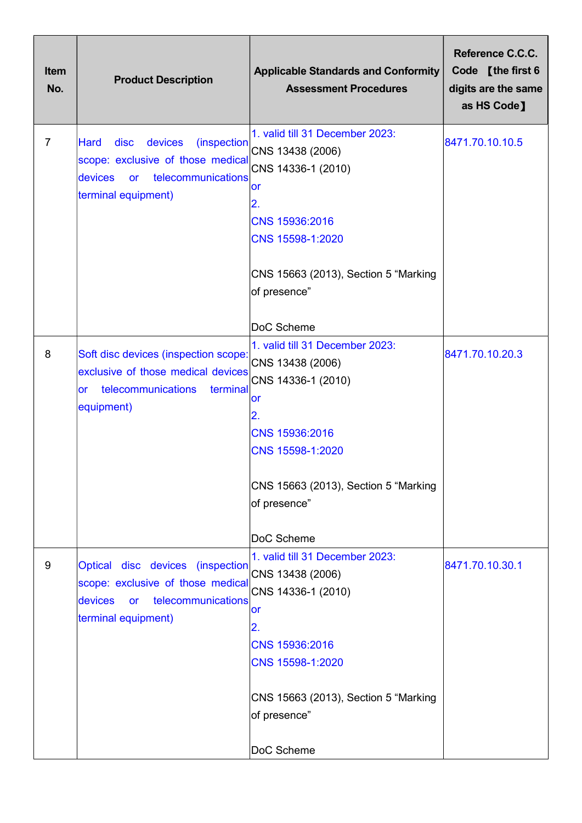| <b>Item</b><br>No. | <b>Product Description</b>                                                                                                                            | <b>Applicable Standards and Conformity</b><br><b>Assessment Procedures</b>                                                                                                                        | Reference C.C.C.<br>Code [the first 6<br>digits are the same<br>as HS Code] |
|--------------------|-------------------------------------------------------------------------------------------------------------------------------------------------------|---------------------------------------------------------------------------------------------------------------------------------------------------------------------------------------------------|-----------------------------------------------------------------------------|
| $\overline{7}$     | disc<br>devices<br>(inspection<br>Hard<br>scope: exclusive of those medical<br><b>devices</b><br>telecommunications<br>or<br>terminal equipment)      | 1. valid till 31 December 2023:<br>CNS 13438 (2006)<br>CNS 14336-1 (2010)<br>or<br>2.<br>CNS 15936:2016<br>CNS 15598-1:2020<br>CNS 15663 (2013), Section 5 "Marking<br>of presence"<br>DoC Scheme | 8471.70.10.10.5                                                             |
| 8                  | Soft disc devices (inspection scope:<br>exclusive of those medical devices<br>telecommunications<br>terminal<br><b>or</b><br>equipment)               | 1. valid till 31 December 2023:<br>CNS 13438 (2006)<br>CNS 14336-1 (2010)<br>or<br>2.<br>CNS 15936:2016<br>CNS 15598-1:2020<br>CNS 15663 (2013), Section 5 "Marking<br>of presence"<br>DoC Scheme | 8471.70.10.20.3                                                             |
| 9                  | Optical disc devices<br><i>(inspection)</i><br>scope: exclusive of those medical<br>telecommunications<br>devices<br><b>or</b><br>terminal equipment) | 1. valid till 31 December 2023:<br>CNS 13438 (2006)<br>CNS 14336-1 (2010)<br>or<br>2.<br>CNS 15936:2016<br>CNS 15598-1:2020<br>CNS 15663 (2013), Section 5 "Marking<br>of presence"<br>DoC Scheme | 8471.70.10.30.1                                                             |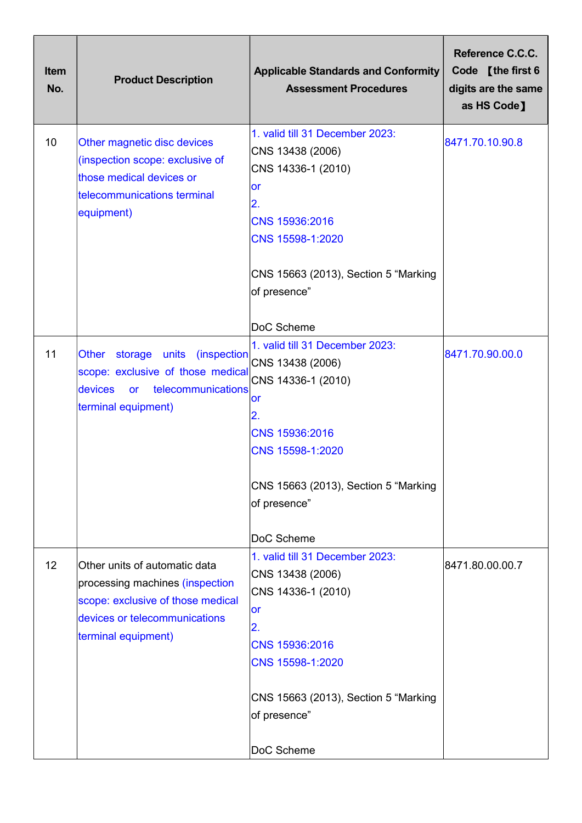| <b>Item</b><br>No. | <b>Product Description</b>                                                                                                                                    | <b>Applicable Standards and Conformity</b><br><b>Assessment Procedures</b>                                                                                                                               | Reference C.C.C.<br>Code [the first 6<br>digits are the same<br>as HS Code] |
|--------------------|---------------------------------------------------------------------------------------------------------------------------------------------------------------|----------------------------------------------------------------------------------------------------------------------------------------------------------------------------------------------------------|-----------------------------------------------------------------------------|
| 10                 | Other magnetic disc devices<br>(inspection scope: exclusive of<br>those medical devices or<br>telecommunications terminal<br>equipment)                       | 1. valid till 31 December 2023:<br>CNS 13438 (2006)<br>CNS 14336-1 (2010)<br><b>or</b><br>$\overline{2}$ .<br>CNS 15936:2016<br>CNS 15598-1:2020<br>CNS 15663 (2013), Section 5 "Marking<br>of presence" | 8471.70.10.90.8                                                             |
|                    |                                                                                                                                                               | DoC Scheme                                                                                                                                                                                               |                                                                             |
| 11                 | <b>Other</b><br>storage units<br>(inspection<br>scope: exclusive of those medical<br>devices<br>telecommunications<br><b>or</b><br>terminal equipment)        | 1. valid till 31 December 2023:<br>CNS 13438 (2006)<br>CNS 14336-1 (2010)<br>or<br>2.<br>CNS 15936:2016<br>CNS 15598-1:2020<br>CNS 15663 (2013), Section 5 "Marking<br>of presence"                      | 8471.70.90.00.0                                                             |
|                    |                                                                                                                                                               | DoC Scheme                                                                                                                                                                                               |                                                                             |
| 12                 | Other units of automatic data<br>processing machines (inspection<br>scope: exclusive of those medical<br>devices or telecommunications<br>terminal equipment) | 1. valid till 31 December 2023:<br>CNS 13438 (2006)<br>CNS 14336-1 (2010)<br>or<br>2.<br>CNS 15936:2016<br>CNS 15598-1:2020<br>CNS 15663 (2013), Section 5 "Marking<br>of presence"                      | 8471.80.00.00.7                                                             |
|                    |                                                                                                                                                               | DoC Scheme                                                                                                                                                                                               |                                                                             |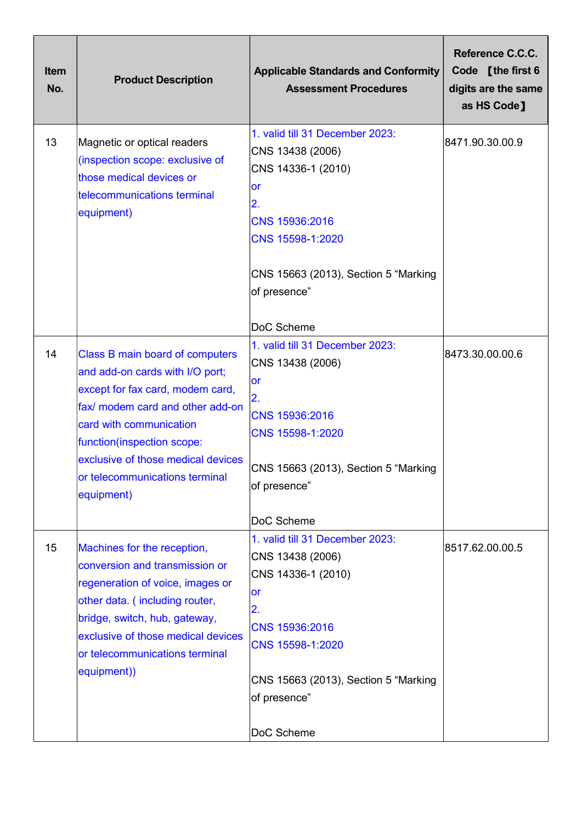| <b>Item</b><br>No. | <b>Product Description</b>                                                                                                                                                                                                                                                                | <b>Applicable Standards and Conformity</b><br><b>Assessment Procedures</b>                                                                                                                               | Reference C.C.C.<br>Code [the first 6<br>digits are the same<br>as HS Code] |
|--------------------|-------------------------------------------------------------------------------------------------------------------------------------------------------------------------------------------------------------------------------------------------------------------------------------------|----------------------------------------------------------------------------------------------------------------------------------------------------------------------------------------------------------|-----------------------------------------------------------------------------|
| 13                 | Magnetic or optical readers<br>(inspection scope: exclusive of<br>those medical devices or<br>telecommunications terminal<br>equipment)                                                                                                                                                   | 1. valid till 31 December 2023:<br>CNS 13438 (2006)<br>CNS 14336-1 (2010)<br>or<br>2.<br>CNS 15936:2016<br>CNS 15598-1:2020<br>CNS 15663 (2013), Section 5 "Marking<br>of presence"<br>DoC Scheme        | 8471.90.30.00.9                                                             |
| 14                 | Class B main board of computers<br>and add-on cards with I/O port;<br>except for fax card, modem card,<br>fax/ modem card and other add-on<br>card with communication<br>function(inspection scope:<br>exclusive of those medical devices<br>or telecommunications terminal<br>equipment) | 1. valid till 31 December 2023:<br>CNS 13438 (2006)<br>or<br>2.<br>CNS 15936:2016<br>CNS 15598-1:2020<br>CNS 15663 (2013), Section 5 "Marking<br>of presence"<br>DoC Scheme                              | 8473.30.00.00.6                                                             |
| 15                 | Machines for the reception,<br>conversion and transmission or<br>regeneration of voice, images or<br>other data. (including router,<br>bridge, switch, hub, gateway,<br>exclusive of those medical devices<br>or telecommunications terminal<br>equipment))                               | 1. valid till 31 December 2023:<br>CNS 13438 (2006)<br>CNS 14336-1 (2010)<br><b>or</b><br>2.<br>CNS 15936:2016<br>CNS 15598-1:2020<br>CNS 15663 (2013), Section 5 "Marking<br>of presence"<br>DoC Scheme | 8517.62.00.00.5                                                             |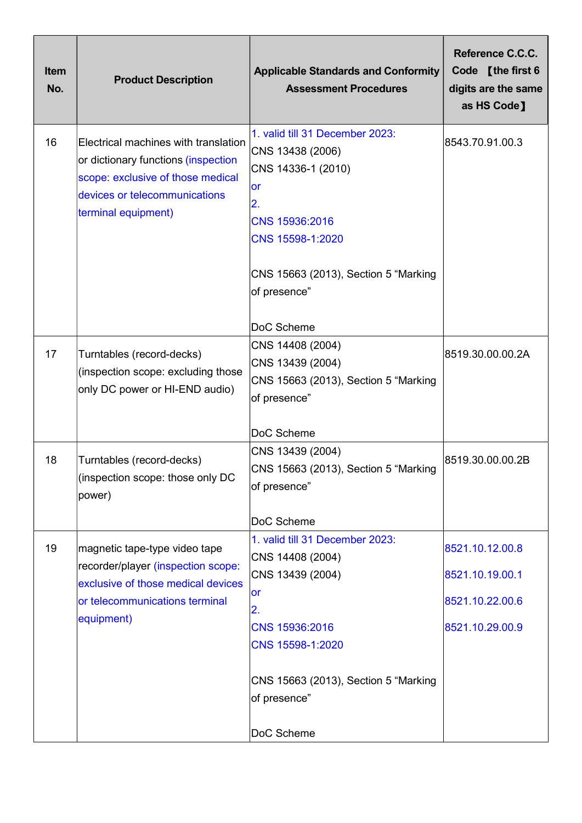| <b>Item</b><br>No. | <b>Product Description</b>                                                                                                                                               | <b>Applicable Standards and Conformity</b><br><b>Assessment Procedures</b>                                                                                                               | Reference C.C.C.<br>Code [the first 6<br>digits are the same<br>as HS Code] |
|--------------------|--------------------------------------------------------------------------------------------------------------------------------------------------------------------------|------------------------------------------------------------------------------------------------------------------------------------------------------------------------------------------|-----------------------------------------------------------------------------|
| 16                 | Electrical machines with translation<br>or dictionary functions (inspection<br>scope: exclusive of those medical<br>devices or telecommunications<br>terminal equipment) | 1. valid till 31 December 2023:<br>CNS 13438 (2006)<br>CNS 14336-1 (2010)<br>or<br>2.<br>CNS 15936:2016<br>CNS 15598-1:2020<br>CNS 15663 (2013), Section 5 "Marking<br>of presence"      | 8543.70.91.00.3                                                             |
| 17                 | Turntables (record-decks)<br>(inspection scope: excluding those<br>only DC power or HI-END audio)                                                                        | DoC Scheme<br>CNS 14408 (2004)<br>CNS 13439 (2004)<br>CNS 15663 (2013), Section 5 "Marking<br>of presence"<br>DoC Scheme                                                                 | 8519.30.00.00.2A                                                            |
| 18                 | Turntables (record-decks)<br>(inspection scope: those only DC<br>power)                                                                                                  | CNS 13439 (2004)<br>CNS 15663 (2013), Section 5 "Marking<br>of presence"<br>DoC Scheme                                                                                                   | 8519.30.00.00.2B                                                            |
| 19                 | magnetic tape-type video tape<br>recorder/player (inspection scope:<br>exclusive of those medical devices<br>or telecommunications terminal<br>equipment)                | 1. valid till 31 December 2023:<br>CNS 14408 (2004)<br>CNS 13439 (2004)<br><b>or</b><br>2.<br>CNS 15936:2016<br>CNS 15598-1:2020<br>CNS 15663 (2013), Section 5 "Marking<br>of presence" | 8521.10.12.00.8<br>8521.10.19.00.1<br>8521.10.22.00.6<br>8521.10.29.00.9    |
|                    |                                                                                                                                                                          | DoC Scheme                                                                                                                                                                               |                                                                             |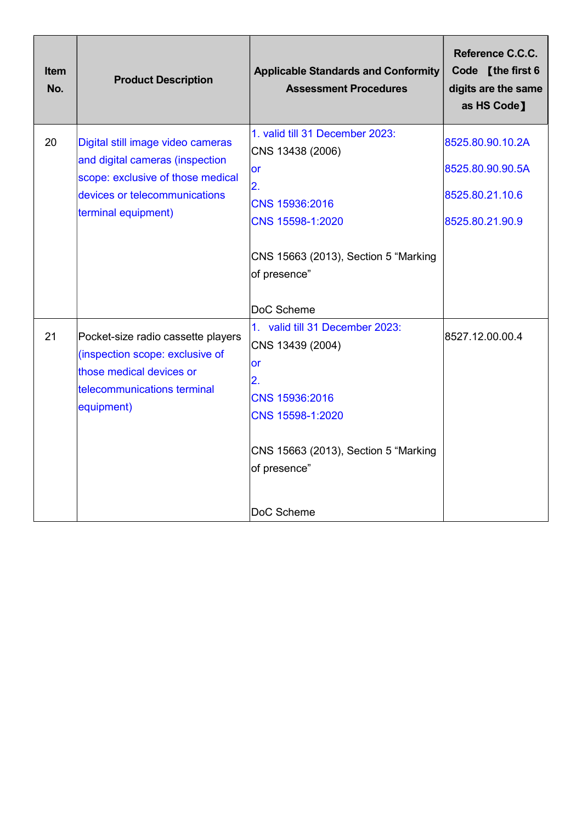| Item<br>No. | <b>Product Description</b>                                                                                                                                        | <b>Applicable Standards and Conformity</b><br><b>Assessment Procedures</b>                                                                                                  | Reference C.C.C.<br>Code [the first 6<br>digits are the same<br>as HS Code] |
|-------------|-------------------------------------------------------------------------------------------------------------------------------------------------------------------|-----------------------------------------------------------------------------------------------------------------------------------------------------------------------------|-----------------------------------------------------------------------------|
| 20          | Digital still image video cameras<br>and digital cameras (inspection<br>scope: exclusive of those medical<br>devices or telecommunications<br>terminal equipment) | 1. valid till 31 December 2023:<br>CNS 13438 (2006)<br><b>or</b><br>$\overline{2}$ .<br>CNS 15936:2016<br>CNS 15598-1:2020                                                  | 8525.80.90.10.2A<br>8525.80.90.90.5A<br>8525.80.21.10.6<br>8525.80.21.90.9  |
|             |                                                                                                                                                                   | CNS 15663 (2013), Section 5 "Marking<br>of presence"<br>DoC Scheme                                                                                                          |                                                                             |
| 21          | Pocket-size radio cassette players<br>(inspection scope: exclusive of<br>those medical devices or<br>telecommunications terminal<br>equipment)                    | 1. valid till 31 December 2023:<br>CNS 13439 (2004)<br>or<br>2.<br>CNS 15936:2016<br>CNS 15598-1:2020<br>CNS 15663 (2013), Section 5 "Marking<br>of presence"<br>DoC Scheme | 8527.12.00.00.4                                                             |